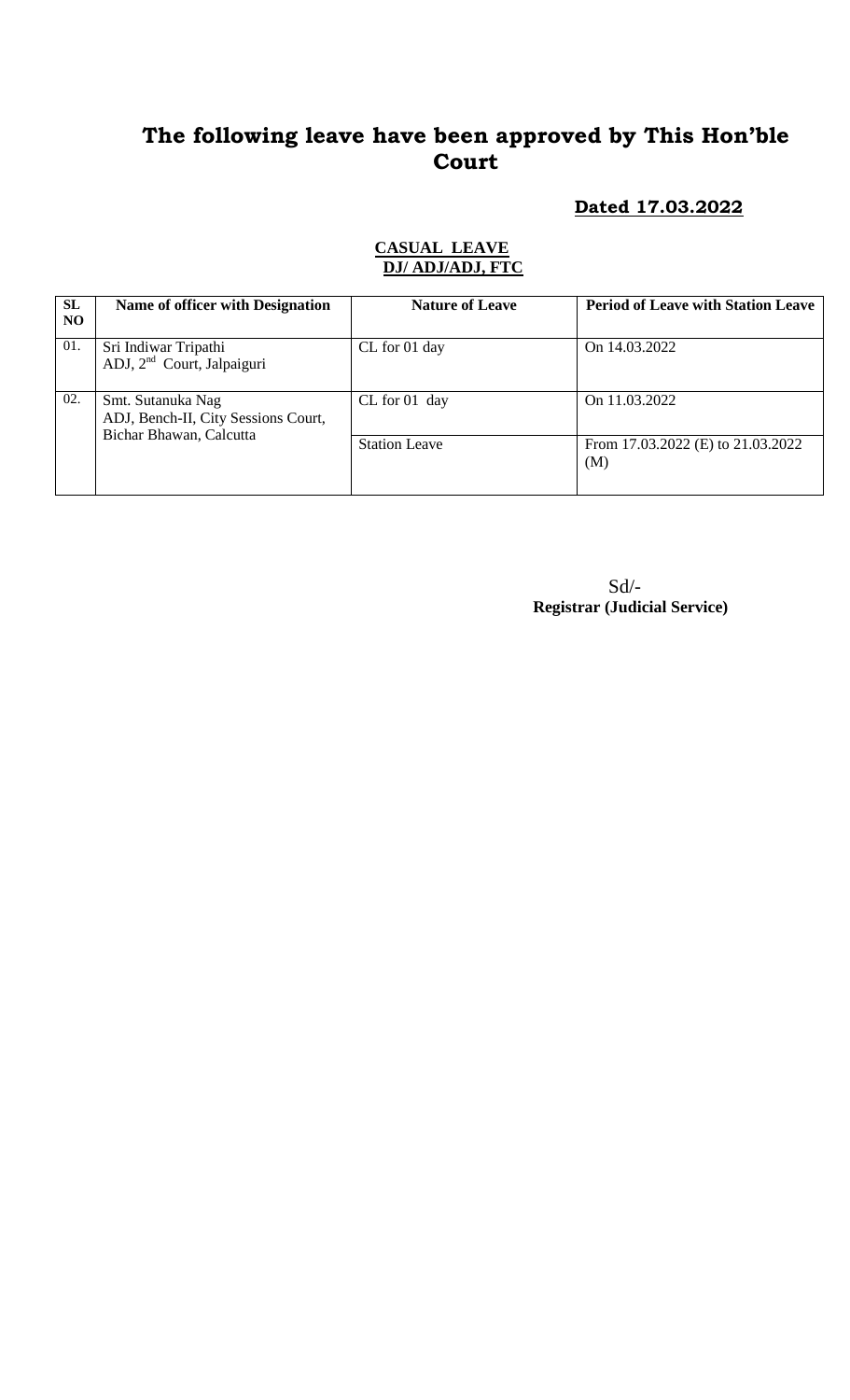### **Dated 17.03.2022**

#### **CASUAL LEAVE DJ/ ADJ/ADJ, FTC**

| SL<br>NO | Name of officer with Designation                               | <b>Nature of Leave</b> | <b>Period of Leave with Station Leave</b> |
|----------|----------------------------------------------------------------|------------------------|-------------------------------------------|
| 01.      | Sri Indiwar Tripathi<br>ADJ, 2 <sup>nd</sup> Court, Jalpaiguri | CL for 01 day          | On 14.03.2022                             |
| 02.      | Smt. Sutanuka Nag<br>ADJ, Bench-II, City Sessions Court,       | $CL$ for 01 day        | On 11.03.2022                             |
|          | Bichar Bhawan, Calcutta                                        | <b>Station Leave</b>   | From 17.03.2022 (E) to 21.03.2022<br>(M)  |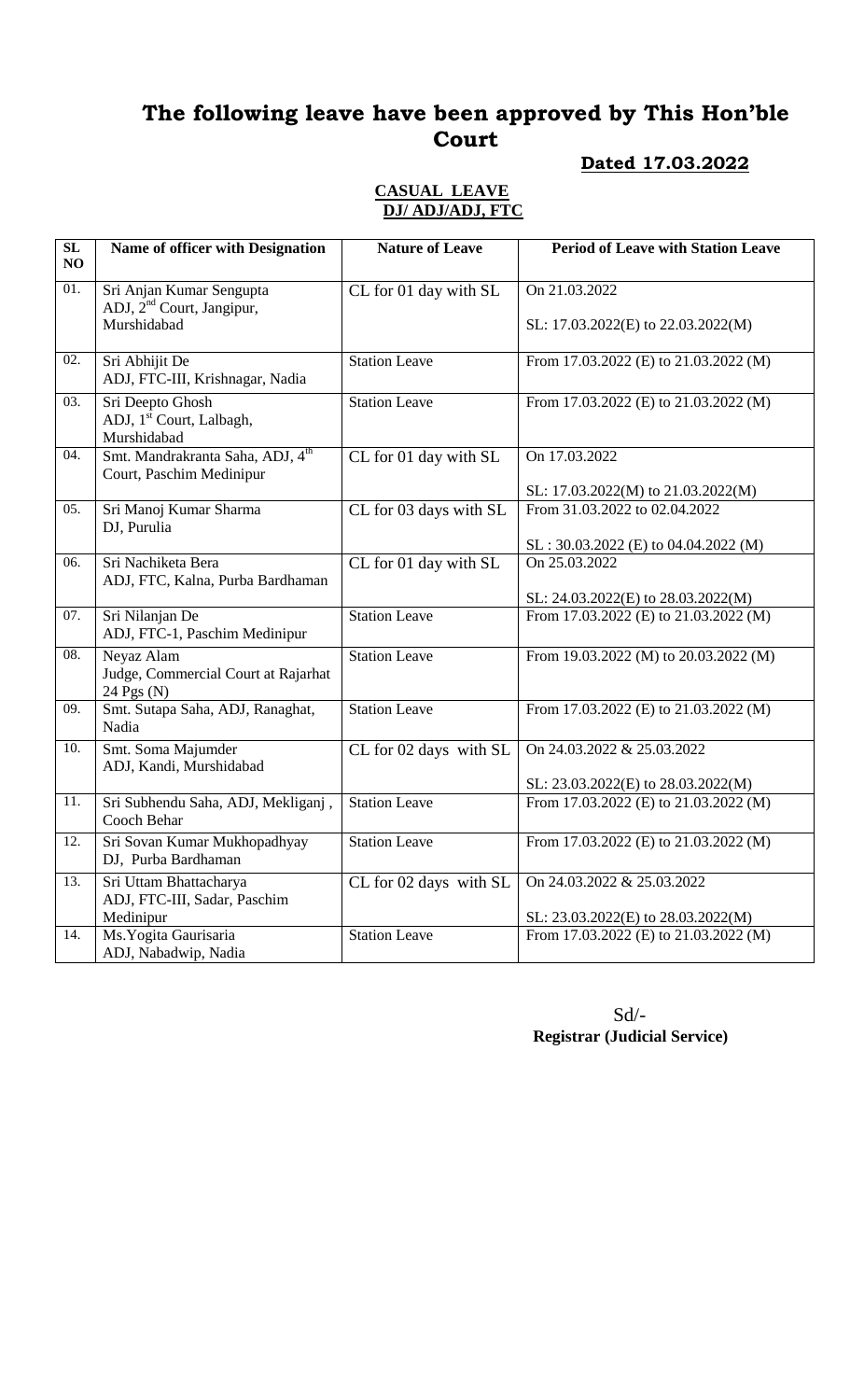### **Dated 17.03.2022**

### **CASUAL LEAVE DJ/ ADJ/ADJ, FTC**

| SL<br>NO | Name of officer with Designation                                                 | <b>Nature of Leave</b>                    | <b>Period of Leave with Station Leave</b>                               |
|----------|----------------------------------------------------------------------------------|-------------------------------------------|-------------------------------------------------------------------------|
| 01.      | Sri Anjan Kumar Sengupta<br>ADJ, 2 <sup>nd</sup> Court, Jangipur,<br>Murshidabad | CL for 01 day with SL                     | On 21.03.2022<br>SL: 17.03.2022(E) to 22.03.2022(M)                     |
| 02.      | Sri Abhijit De<br>ADJ, FTC-III, Krishnagar, Nadia                                | <b>Station Leave</b>                      | From 17.03.2022 (E) to 21.03.2022 (M)                                   |
| 03.      | Sri Deepto Ghosh<br>ADJ, 1 <sup>st</sup> Court, Lalbagh,<br>Murshidabad          | <b>Station Leave</b>                      | From 17.03.2022 (E) to 21.03.2022 (M)                                   |
| 04.      | Smt. Mandrakranta Saha, ADJ, 4 <sup>th</sup><br>Court, Paschim Medinipur         | $\overline{\text{CL}}$ for 01 day with SL | On 17.03.2022<br>SL: 17.03.2022(M) to 21.03.2022(M)                     |
| 05.      | Sri Manoj Kumar Sharma<br>DJ, Purulia                                            | CL for 03 days with SL                    | From 31.03.2022 to 02.04.2022<br>$SL: 30.03.2022$ (E) to 04.04.2022 (M) |
| 06.      | Sri Nachiketa Bera<br>ADJ, FTC, Kalna, Purba Bardhaman                           | CL for 01 day with SL                     | On 25.03.2022<br>SL: 24.03.2022(E) to 28.03.2022(M)                     |
| 07.      | Sri Nilanjan De<br>ADJ, FTC-1, Paschim Medinipur                                 | <b>Station Leave</b>                      | From 17.03.2022 (E) to 21.03.2022 (M)                                   |
| 08.      | Neyaz Alam<br>Judge, Commercial Court at Rajarhat<br>24 Pgs (N)                  | <b>Station Leave</b>                      | From 19.03.2022 (M) to 20.03.2022 (M)                                   |
| 09.      | Smt. Sutapa Saha, ADJ, Ranaghat,<br>Nadia                                        | <b>Station Leave</b>                      | From 17.03.2022 (E) to 21.03.2022 (M)                                   |
| 10.      | Smt. Soma Majumder<br>ADJ, Kandi, Murshidabad                                    | CL for 02 days with SL                    | On 24.03.2022 & 25.03.2022<br>SL: 23.03.2022(E) to 28.03.2022(M)        |
| 11.      | Sri Subhendu Saha, ADJ, Mekliganj,<br>Cooch Behar                                | <b>Station Leave</b>                      | From 17.03.2022 (E) to 21.03.2022 (M)                                   |
| 12.      | Sri Sovan Kumar Mukhopadhyay<br>DJ, Purba Bardhaman                              | <b>Station Leave</b>                      | From 17.03.2022 (E) to 21.03.2022 (M)                                   |
| 13.      | Sri Uttam Bhattacharya<br>ADJ, FTC-III, Sadar, Paschim<br>Medinipur              | CL for 02 days with SL                    | On 24.03.2022 & 25.03.2022<br>SL: 23.03.2022(E) to 28.03.2022(M)        |
| 14.      | Ms. Yogita Gaurisaria<br>ADJ, Nabadwip, Nadia                                    | <b>Station Leave</b>                      | From 17.03.2022 (E) to 21.03.2022 (M)                                   |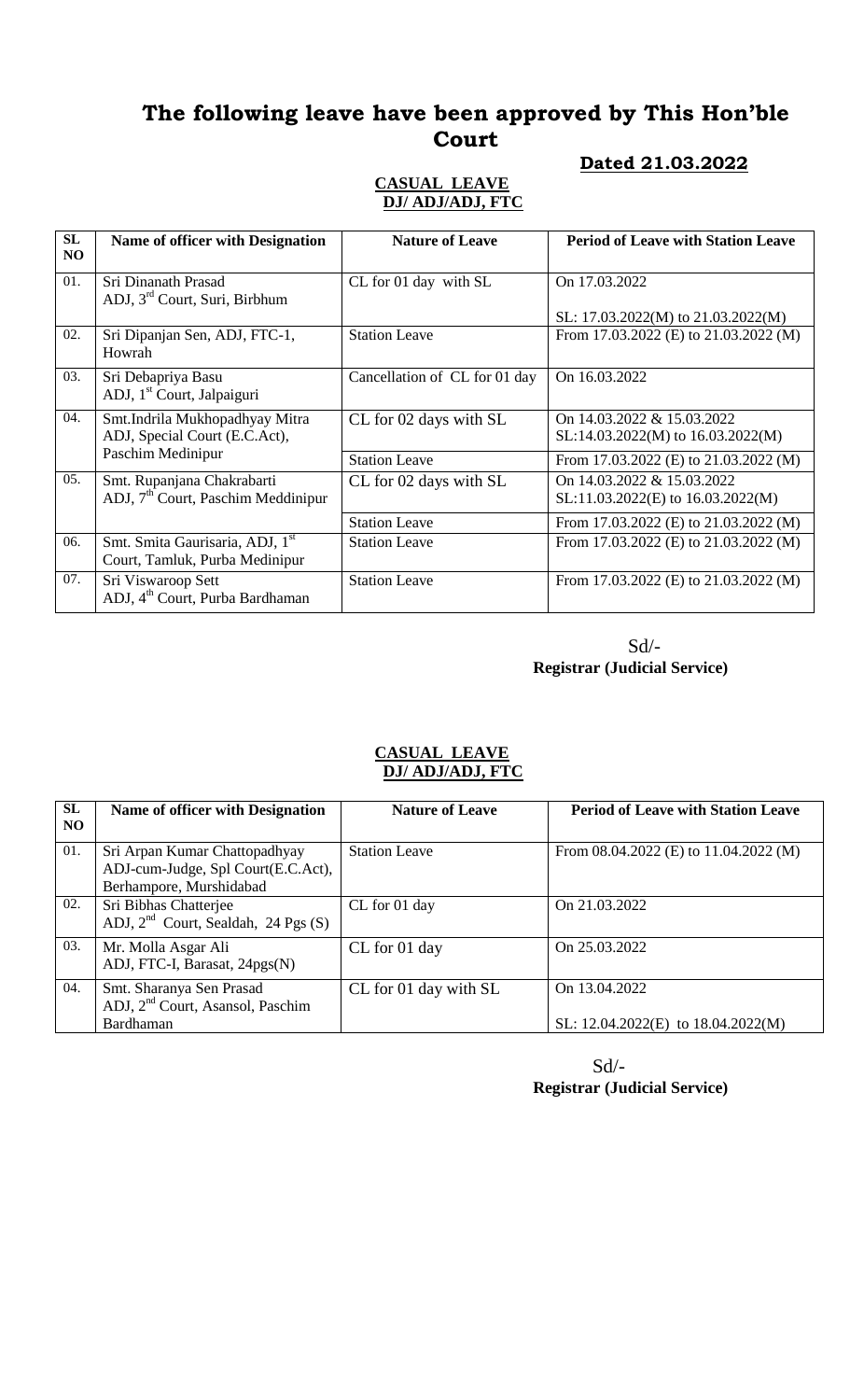### **Dated 21.03.2022**

#### **CASUAL LEAVE DJ/ ADJ/ADJ, FTC**

| SL<br>N <sub>O</sub> | <b>Name of officer with Designation</b>        | <b>Nature of Leave</b>        | <b>Period of Leave with Station Leave</b> |
|----------------------|------------------------------------------------|-------------------------------|-------------------------------------------|
|                      |                                                |                               |                                           |
| 01.                  | Sri Dinanath Prasad                            | CL for 01 day with SL         | On 17.03.2022                             |
|                      | ADJ, 3 <sup>rd</sup> Court, Suri, Birbhum      |                               |                                           |
|                      |                                                |                               | SL: $17.03.2022(M)$ to $21.03.2022(M)$    |
| 02.                  | Sri Dipanjan Sen, ADJ, FTC-1,                  | <b>Station Leave</b>          | From 17.03.2022 (E) to 21.03.2022 (M)     |
|                      | Howrah                                         |                               |                                           |
| 03.                  | Sri Debapriya Basu                             | Cancellation of CL for 01 day | On 16.03.2022                             |
|                      | ADJ, 1 <sup>st</sup> Court, Jalpaiguri         |                               |                                           |
| 04.                  | Smt.Indrila Mukhopadhyay Mitra                 | CL for 02 days with SL        | On 14.03.2022 & 15.03.2022                |
|                      | ADJ, Special Court (E.C.Act),                  |                               | SL:14.03.2022(M) to 16.03.2022(M)         |
|                      | Paschim Medinipur                              | <b>Station Leave</b>          | From 17.03.2022 (E) to 21.03.2022 (M)     |
| 05.                  | Smt. Rupanjana Chakrabarti                     | CL for 02 days with SL        | On 14.03.2022 & 15.03.2022                |
|                      | ADJ, 7 <sup>th</sup> Court, Paschim Meddinipur |                               | SL:11.03.2022(E) to 16.03.2022(M)         |
|                      |                                                | <b>Station Leave</b>          | From 17.03.2022 (E) to 21.03.2022 (M)     |
| 06.                  | Smt. Smita Gaurisaria, ADJ, 1st                | <b>Station Leave</b>          | From 17.03.2022 (E) to $21.03.2022$ (M)   |
|                      | Court, Tamluk, Purba Medinipur                 |                               |                                           |
| 07.                  | Sri Viswaroop Sett                             | <b>Station Leave</b>          | From 17.03.2022 (E) to 21.03.2022 (M)     |
|                      | ADJ, 4 <sup>th</sup> Court, Purba Bardhaman    |                               |                                           |

 Sd/-  **Registrar (Judicial Service)**

#### **CASUAL LEAVE DJ/ ADJ/ADJ, FTC**

| SL<br>N <sub>O</sub> | Name of officer with Designation                                                               | <b>Nature of Leave</b> | <b>Period of Leave with Station Leave</b>               |
|----------------------|------------------------------------------------------------------------------------------------|------------------------|---------------------------------------------------------|
| 01.                  | Sri Arpan Kumar Chattopadhyay<br>ADJ-cum-Judge, Spl Court(E.C.Act),<br>Berhampore, Murshidabad | <b>Station Leave</b>   | From $08.04.2022$ (E) to $11.04.2022$ (M)               |
| 02.                  | Sri Bibhas Chatterjee<br>ADJ, $2nd$ Court, Sealdah, 24 Pgs (S)                                 | CL for 01 day          | On 21.03.2022                                           |
| 03.                  | Mr. Molla Asgar Ali<br>ADJ, FTC-I, Barasat, 24pgs(N)                                           | CL for 01 day          | On 25,03,2022                                           |
| 04.                  | Smt. Sharanya Sen Prasad<br>ADJ, 2 <sup>nd</sup> Court, Asansol, Paschim<br>Bardhaman          | CL for 01 day with SL  | On 13.04.2022<br>SL: $12.04.2022(E)$ to $18.04.2022(M)$ |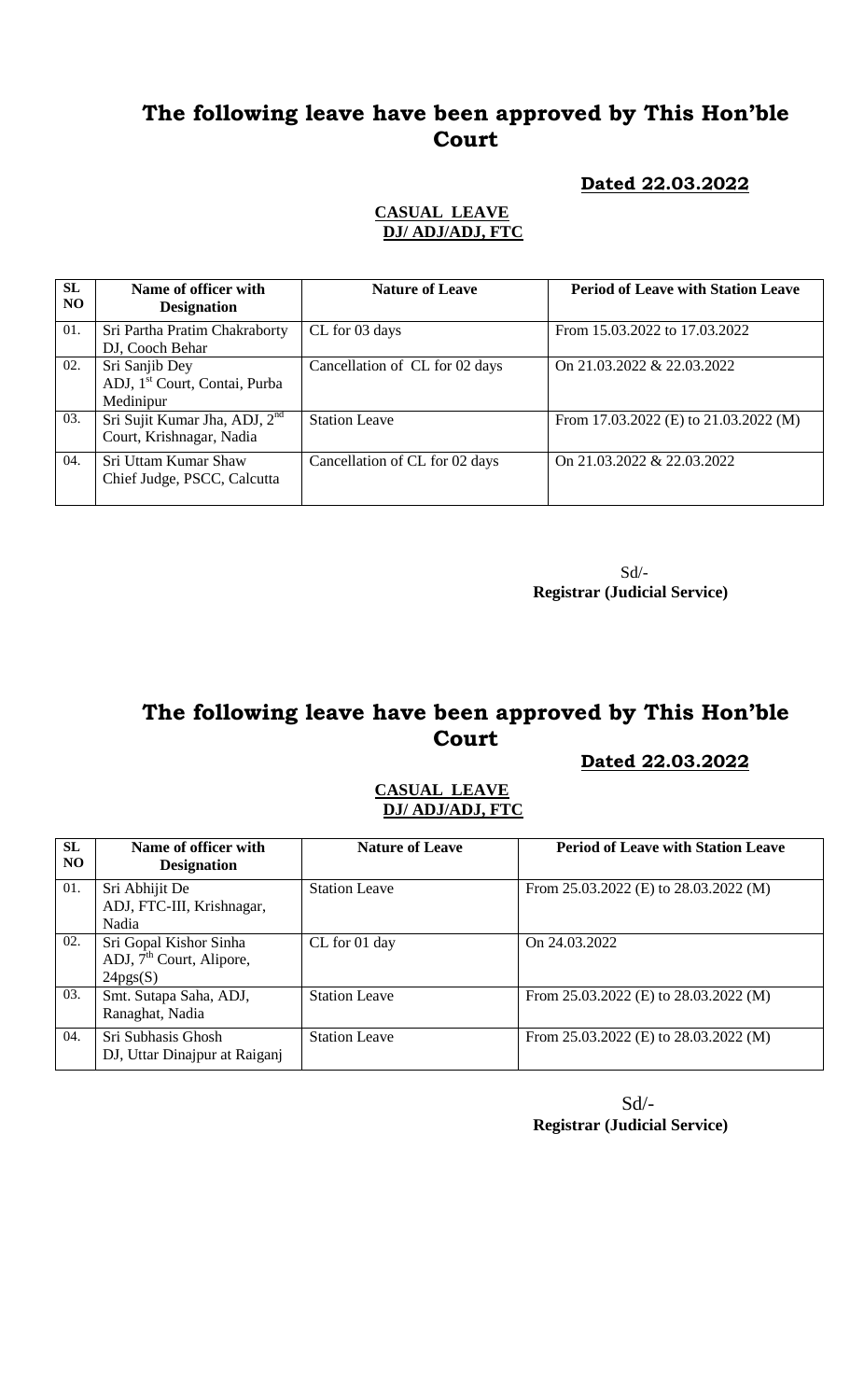### **Dated 22.03.2022**

#### **CASUAL LEAVE DJ/ ADJ/ADJ, FTC**

| <b>SL</b><br>N <sub>O</sub> | Name of officer with<br><b>Designation</b>                               | <b>Nature of Leave</b>         | <b>Period of Leave with Station Leave</b> |
|-----------------------------|--------------------------------------------------------------------------|--------------------------------|-------------------------------------------|
| 01.                         | Sri Partha Pratim Chakraborty<br>DJ, Cooch Behar                         | CL for 03 days                 | From 15.03.2022 to 17.03.2022             |
| 02.                         | Sri Sanjib Dey<br>ADJ, 1 <sup>st</sup> Court, Contai, Purba<br>Medinipur | Cancellation of CL for 02 days | On 21.03.2022 & 22.03.2022                |
| 03.                         | Sri Sujit Kumar Jha, ADJ, 2 <sup>nd</sup><br>Court, Krishnagar, Nadia    | <b>Station Leave</b>           | From 17.03.2022 (E) to 21.03.2022 (M)     |
| 04.                         | Sri Uttam Kumar Shaw<br>Chief Judge, PSCC, Calcutta                      | Cancellation of CL for 02 days | On 21.03.2022 & 22.03.2022                |

 Sd/-  **Registrar (Judicial Service)**

# **The following leave have been approved by This Hon'ble Court**

 **Dated 22.03.2022**

#### **CASUAL LEAVE DJ/ ADJ/ADJ, FTC**

| <b>SL</b><br>NO. | Name of officer with<br><b>Designation</b>                                 | <b>Nature of Leave</b> | <b>Period of Leave with Station Leave</b> |
|------------------|----------------------------------------------------------------------------|------------------------|-------------------------------------------|
| 01.              | Sri Abhijit De<br>ADJ, FTC-III, Krishnagar,<br>Nadia                       | <b>Station Leave</b>   | From 25.03.2022 (E) to 28.03.2022 (M)     |
| 02.              | Sri Gopal Kishor Sinha<br>ADJ, 7 <sup>th</sup> Court, Alipore,<br>24pgs(S) | CL for 01 day          | On 24.03.2022                             |
| 03.              | Smt. Sutapa Saha, ADJ,<br>Ranaghat, Nadia                                  | <b>Station Leave</b>   | From 25.03.2022 (E) to 28.03.2022 (M)     |
| 04.              | Sri Subhasis Ghosh<br>DJ, Uttar Dinajpur at Raiganj                        | <b>Station Leave</b>   | From 25.03.2022 (E) to 28.03.2022 (M)     |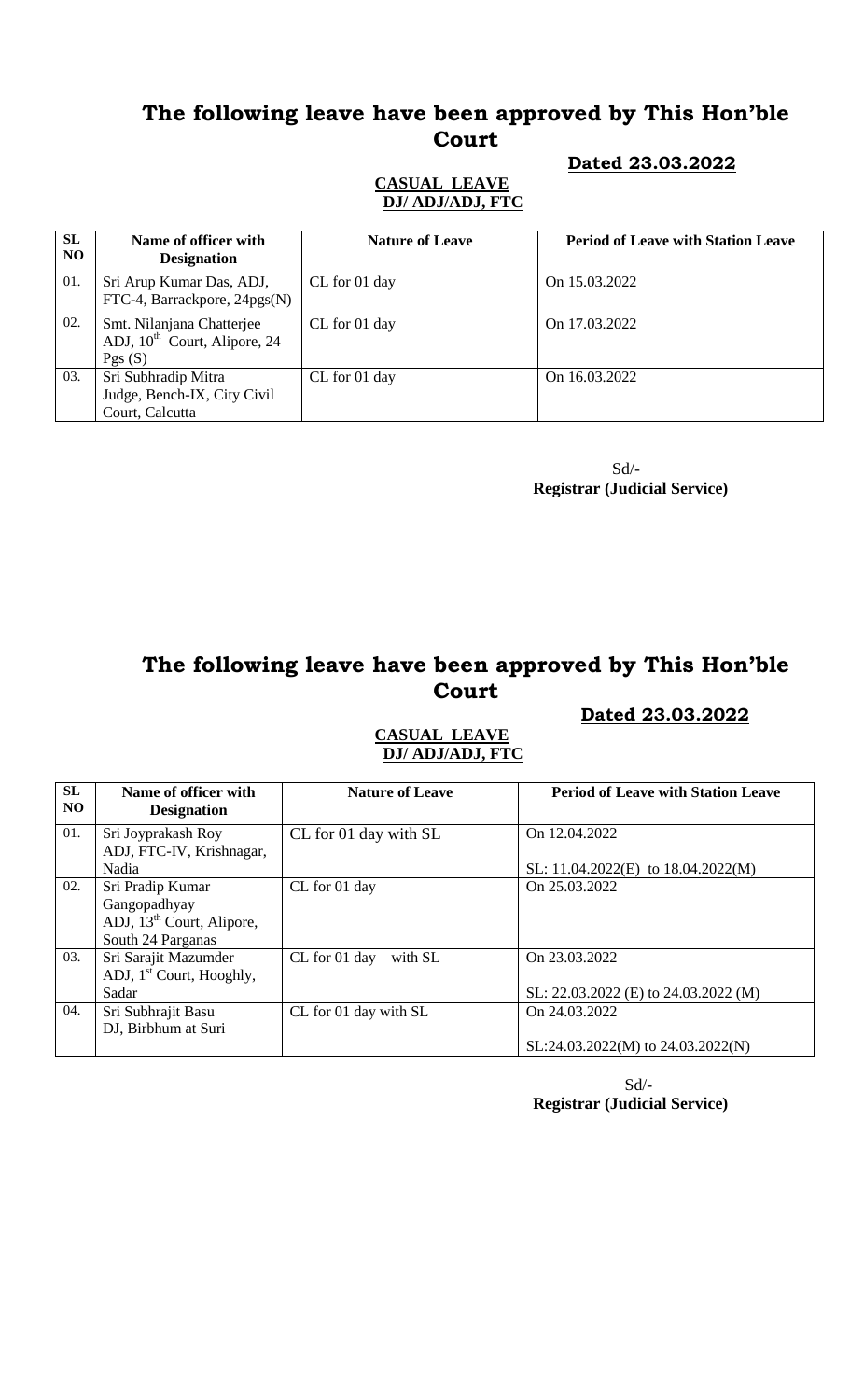### **Dated 23.03.2022**

#### **CASUAL LEAVE DJ/ ADJ/ADJ, FTC**

| SL<br>NO. | Name of officer with<br><b>Designation</b>                                      | <b>Nature of Leave</b> | <b>Period of Leave with Station Leave</b> |
|-----------|---------------------------------------------------------------------------------|------------------------|-------------------------------------------|
| 01.       | Sri Arup Kumar Das, ADJ,<br>FTC-4, Barrackpore, $24pgs(N)$                      | CL for 01 day          | On 15.03.2022                             |
| 02.       | Smt. Nilanjana Chatterjee<br>ADJ, 10 <sup>th</sup> Court, Alipore, 24<br>Pgs(S) | CL for 01 day          | On 17.03.2022                             |
| 03.       | Sri Subhradip Mitra<br>Judge, Bench-IX, City Civil<br>Court, Calcutta           | CL for 01 day          | On 16.03.2022                             |

 Sd/-  **Registrar (Judicial Service)**

# **The following leave have been approved by This Hon'ble Court**

### **Dated 23.03.2022**

### **CASUAL LEAVE DJ/ ADJ/ADJ, FTC**

| SL<br>NO. | Name of officer with<br><b>Designation</b>                                                     | <b>Nature of Leave</b>   | <b>Period of Leave with Station Leave</b>               |
|-----------|------------------------------------------------------------------------------------------------|--------------------------|---------------------------------------------------------|
| 01.       | Sri Joyprakash Roy<br>ADJ, FTC-IV, Krishnagar,<br>Nadia                                        | CL for 01 day with SL    | On 12.04.2022<br>SL: $11.04.2022(E)$ to $18.04.2022(M)$ |
| 02.       | Sri Pradip Kumar<br>Gangopadhyay<br>ADJ, 13 <sup>th</sup> Court, Alipore,<br>South 24 Parganas | CL for 01 day            | On 25.03.2022                                           |
| 03.       | Sri Sarajit Mazumder<br>ADJ, $1st$ Court, Hooghly,<br>Sadar                                    | CL for 01 day<br>with SL | On 23.03.2022<br>SL: 22.03.2022 (E) to 24.03.2022 (M)   |
| 04.       | Sri Subhrajit Basu<br>DJ, Birbhum at Suri                                                      | CL for 01 day with SL    | On 24.03.2022<br>$SL:24.03.2022(M)$ to $24.03.2022(N)$  |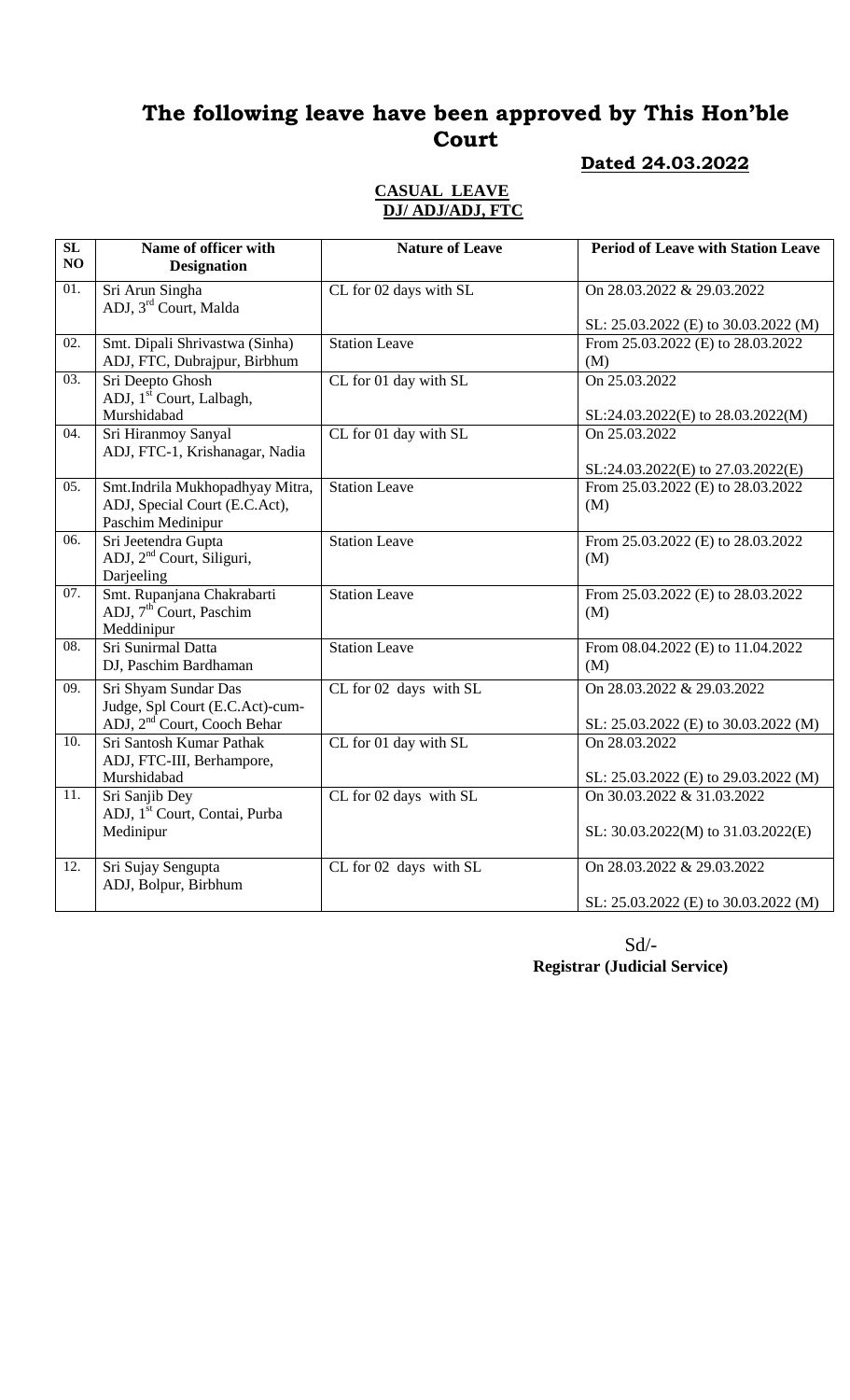# **Dated 24.03.2022**

#### **CASUAL LEAVE DJ/ ADJ/ADJ, FTC**

| $\overline{\text{SL}}$<br>NO | Name of officer with<br><b>Designation</b>                                                         | <b>Nature of Leave</b> | <b>Period of Leave with Station Leave</b>                            |
|------------------------------|----------------------------------------------------------------------------------------------------|------------------------|----------------------------------------------------------------------|
| $\overline{01}$ .            | Sri Arun Singha<br>ADJ, 3rd Court, Malda                                                           | CL for 02 days with SL | On 28.03.2022 & 29.03.2022<br>SL: 25.03.2022 (E) to 30.03.2022 (M)   |
| 02.                          | Smt. Dipali Shrivastwa (Sinha)<br>ADJ, FTC, Dubrajpur, Birbhum                                     | <b>Station Leave</b>   | From 25.03.2022 (E) to 28.03.2022<br>(M)                             |
| $\overline{03}$ .            | Sri Deepto Ghosh<br>ADJ, 1 <sup>st</sup> Court, Lalbagh,<br>Murshidabad                            | CL for 01 day with SL  | On 25.03.2022<br>SL:24.03.2022(E) to 28.03.2022(M)                   |
| 04.                          | Sri Hiranmoy Sanyal<br>ADJ, FTC-1, Krishanagar, Nadia                                              | CL for 01 day with SL  | On 25.03.2022<br>SL:24.03.2022(E) to 27.03.2022(E)                   |
| $\overline{05}$ .            | Smt.Indrila Mukhopadhyay Mitra,<br>ADJ, Special Court (E.C.Act),<br>Paschim Medinipur              | <b>Station Leave</b>   | From 25.03.2022 (E) to 28.03.2022<br>(M)                             |
| 06.                          | Sri Jeetendra Gupta<br>ADJ, 2 <sup>nd</sup> Court, Siliguri,<br>Darjeeling                         | <b>Station Leave</b>   | From 25.03.2022 (E) to 28.03.2022<br>(M)                             |
| $\overline{07}$ .            | Smt. Rupanjana Chakrabarti<br>ADJ, 7 <sup>th</sup> Court, Paschim<br>Meddinipur                    | <b>Station Leave</b>   | From 25.03.2022 (E) to 28.03.2022<br>(M)                             |
| 08.                          | Sri Sunirmal Datta<br>DJ, Paschim Bardhaman                                                        | <b>Station Leave</b>   | From 08.04.2022 (E) to 11.04.2022<br>(M)                             |
| 09.                          | Sri Shyam Sundar Das<br>Judge, Spl Court (E.C.Act)-cum-<br>ADJ, 2 <sup>nd</sup> Court, Cooch Behar | CL for 02 days with SL | On 28.03.2022 & 29.03.2022<br>SL: 25.03.2022 (E) to 30.03.2022 (M)   |
| 10.                          | Sri Santosh Kumar Pathak<br>ADJ, FTC-III, Berhampore,<br>Murshidabad                               | CL for 01 day with SL  | On 28.03.2022<br>SL: 25.03.2022 (E) to 29.03.2022 (M)                |
| $\overline{11}$ .            | Sri Sanjib Dey<br>ADJ, 1 <sup>st</sup> Court, Contai, Purba<br>Medinipur                           | CL for 02 days with SL | On 30.03.2022 & 31.03.2022<br>SL: $30.03.2022(M)$ to $31.03.2022(E)$ |
| 12.                          | Sri Sujay Sengupta<br>ADJ, Bolpur, Birbhum                                                         | CL for 02 days with SL | On 28.03.2022 & 29.03.2022<br>SL: 25.03.2022 (E) to 30.03.2022 (M)   |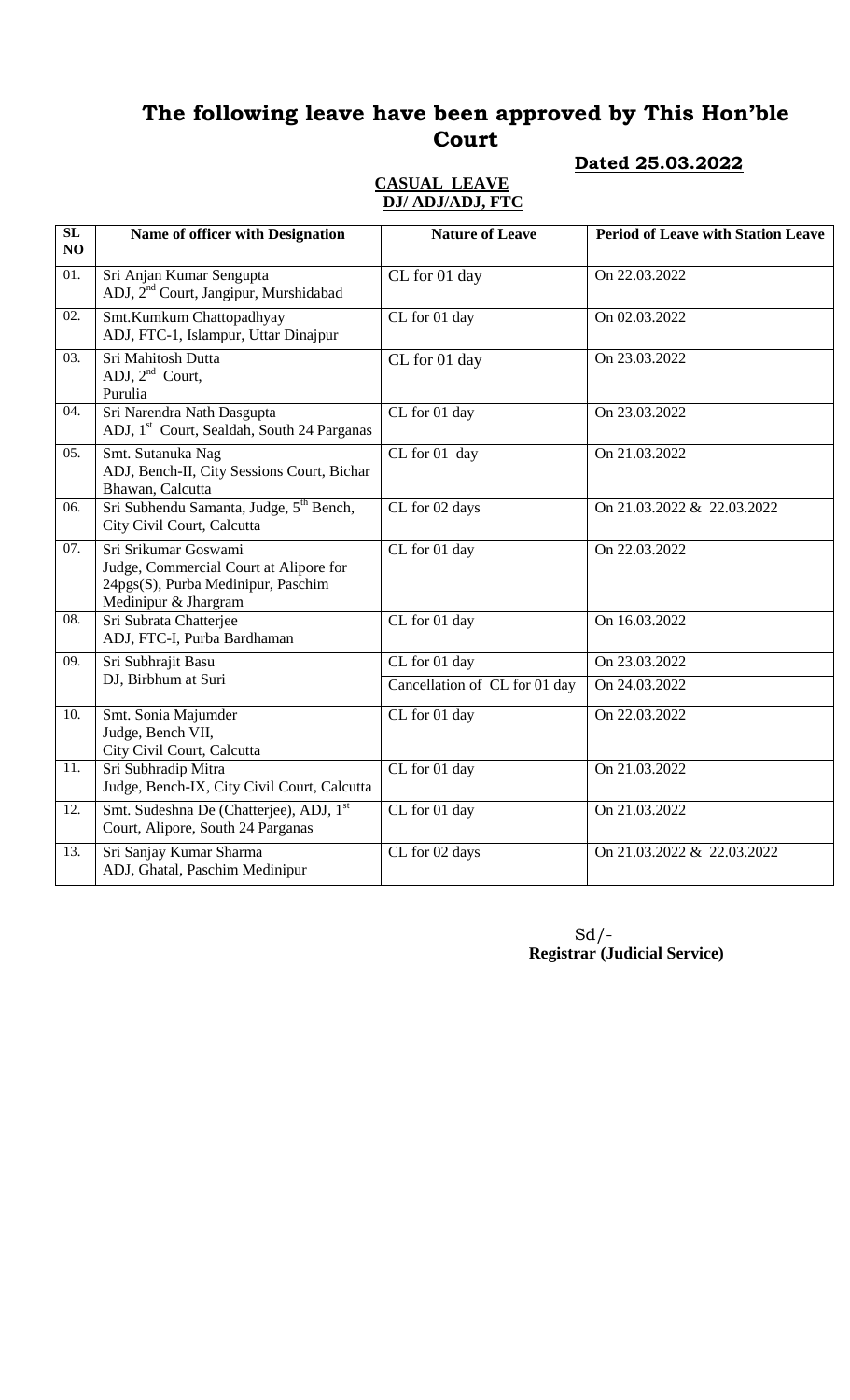#### **Dated 25.03.2022**

#### **CASUAL LEAVE DJ/ ADJ/ADJ, FTC**

12. Smt. Sudeshna De (Chatterjee), ADJ, 1<sup>st</sup> Court, Alipore, South 24 Parganas

ADJ, Ghatal, Paschim Medinipur

13. Sri Sanjay Kumar Sharma

| $\overline{\text{SL}}$<br>NO | Name of officer with Designation                                                                                             | <b>Nature of Leave</b>            | <b>Period of Leave with Station Leave</b> |
|------------------------------|------------------------------------------------------------------------------------------------------------------------------|-----------------------------------|-------------------------------------------|
| $\overline{01}$ .            | Sri Anjan Kumar Sengupta<br>ADJ, 2 <sup>nd</sup> Court, Jangipur, Murshidabad                                                | CL for 01 day                     | On 22.03.2022                             |
| $\overline{02}$ .            | Smt.Kumkum Chattopadhyay<br>ADJ, FTC-1, Islampur, Uttar Dinajpur                                                             | CL for 01 day                     | On 02.03.2022                             |
| 03.                          | Sri Mahitosh Dutta<br>ADJ, 2 <sup>nd</sup> Court,<br>Purulia                                                                 | CL for 01 day                     | On 23.03.2022                             |
| 04.                          | Sri Narendra Nath Dasgupta<br>ADJ, 1 <sup>st</sup> Court, Sealdah, South 24 Parganas                                         | CL for 01 day                     | On 23.03.2022                             |
| $\overline{05}$ .            | Smt. Sutanuka Nag<br>ADJ, Bench-II, City Sessions Court, Bichar<br>Bhawan, Calcutta                                          | CL for 01 day                     | On 21.03.2022                             |
| 06.                          | Sri Subhendu Samanta, Judge, 5 <sup>th</sup> Bench,<br>City Civil Court, Calcutta                                            | CL for 02 days                    | On 21.03.2022 & 22.03.2022                |
| 07.                          | Sri Srikumar Goswami<br>Judge, Commercial Court at Alipore for<br>24pgs(S), Purba Medinipur, Paschim<br>Medinipur & Jhargram | $\overline{\text{CL}}$ for 01 day | On 22.03.2022                             |
| 08.                          | Sri Subrata Chatterjee<br>ADJ, FTC-I, Purba Bardhaman                                                                        | CL for 01 day                     | On 16.03.2022                             |
| 09.                          | Sri Subhrajit Basu                                                                                                           | CL for 01 day                     | On 23.03.2022                             |
|                              | DJ, Birbhum at Suri                                                                                                          | Cancellation of CL for 01 day     | On 24.03.2022                             |
| 10.                          | Smt. Sonia Majumder<br>Judge, Bench VII,<br>City Civil Court, Calcutta                                                       | CL for 01 day                     | On 22.03.2022                             |
| $\overline{11}$ .            | Sri Subhradip Mitra<br>Judge, Bench-IX, City Civil Court, Calcutta                                                           | CL for 01 day                     | On 21.03.2022                             |

 $Sd$  /-**Registrar (Judicial Service)**

CL for 01 day 0n 21.03.2022

CL for 02 days 0n 21.03.2022 & 22.03.2022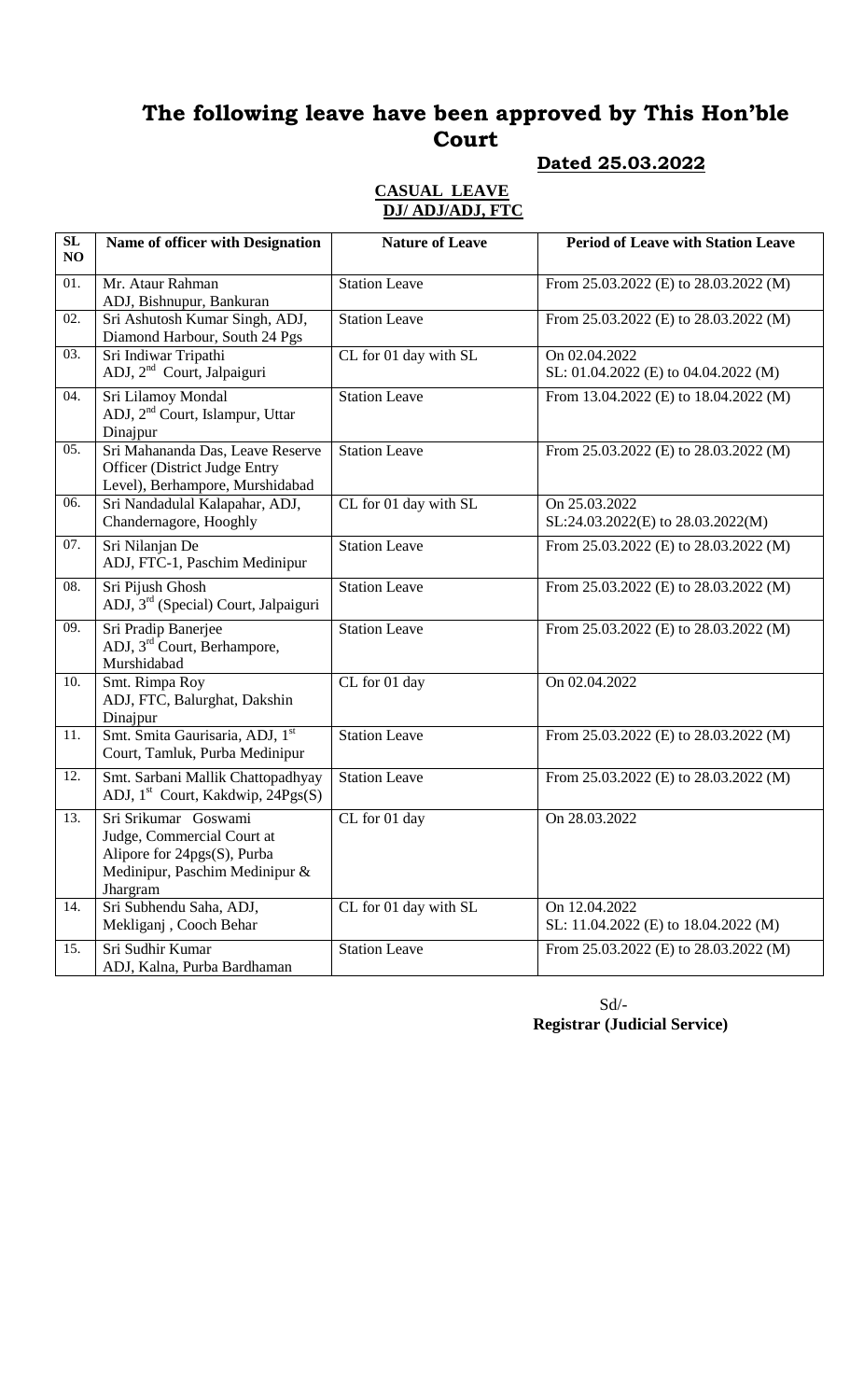### **Dated 25.03.2022**

### **CASUAL LEAVE DJ/ ADJ/ADJ, FTC**

| $\overline{\text{SL}}$<br>NO | Name of officer with Designation                                                                                                   | <b>Nature of Leave</b> | <b>Period of Leave with Station Leave</b>             |
|------------------------------|------------------------------------------------------------------------------------------------------------------------------------|------------------------|-------------------------------------------------------|
| $\overline{01}$ .            | Mr. Ataur Rahman<br>ADJ, Bishnupur, Bankuran                                                                                       | <b>Station Leave</b>   | From 25.03.2022 (E) to 28.03.2022 (M)                 |
| 02.                          | Sri Ashutosh Kumar Singh, ADJ,<br>Diamond Harbour, South 24 Pgs                                                                    | <b>Station Leave</b>   | From 25.03.2022 (E) to 28.03.2022 (M)                 |
| 03.                          | Sri Indiwar Tripathi<br>ADJ, 2 <sup>nd</sup> Court, Jalpaiguri                                                                     | CL for 01 day with SL  | On 02.04.2022<br>SL: 01.04.2022 (E) to 04.04.2022 (M) |
| 04.                          | Sri Lilamoy Mondal<br>ADJ, 2 <sup>nd</sup> Court, Islampur, Uttar<br>Dinajpur                                                      | <b>Station Leave</b>   | From 13.04.2022 (E) to 18.04.2022 (M)                 |
| 05.                          | Sri Mahananda Das, Leave Reserve<br><b>Officer</b> (District Judge Entry<br>Level), Berhampore, Murshidabad                        | <b>Station Leave</b>   | From 25.03.2022 (E) to 28.03.2022 (M)                 |
| 06.                          | Sri Nandadulal Kalapahar, ADJ,<br>Chandernagore, Hooghly                                                                           | CL for 01 day with SL  | On 25.03.2022<br>SL:24.03.2022(E) to 28.03.2022(M)    |
| 07.                          | Sri Nilanjan De<br>ADJ, FTC-1, Paschim Medinipur                                                                                   | <b>Station Leave</b>   | From 25.03.2022 (E) to 28.03.2022 (M)                 |
| 08.                          | Sri Pijush Ghosh<br>ADJ, 3 <sup>rd</sup> (Special) Court, Jalpaiguri                                                               | <b>Station Leave</b>   | From 25.03.2022 (E) to 28.03.2022 (M)                 |
| 09.                          | Sri Pradip Banerjee<br>ADJ, 3 <sup>rd</sup> Court, Berhampore,<br>Murshidabad                                                      | <b>Station Leave</b>   | From 25.03.2022 (E) to 28.03.2022 (M)                 |
| 10.                          | Smt. Rimpa Roy<br>ADJ, FTC, Balurghat, Dakshin<br>Dinajpur                                                                         | CL for 01 day          | On 02.04.2022                                         |
| 11.                          | Smt. Smita Gaurisaria, ADJ, 1st<br>Court, Tamluk, Purba Medinipur                                                                  | <b>Station Leave</b>   | From 25.03.2022 (E) to 28.03.2022 (M)                 |
| 12.                          | Smt. Sarbani Mallik Chattopadhyay<br>ADJ, 1 <sup>st</sup> Court, Kakdwip, 24Pgs(S)                                                 | <b>Station Leave</b>   | From 25.03.2022 (E) to 28.03.2022 (M)                 |
| 13.                          | Sri Srikumar Goswami<br>Judge, Commercial Court at<br>Alipore for $24pgs(S)$ , Purba<br>Medinipur, Paschim Medinipur &<br>Jhargram | CL for 01 day          | On 28.03.2022                                         |
| 14.                          | Sri Subhendu Saha, ADJ,<br>Mekliganj, Cooch Behar                                                                                  | CL for 01 day with SL  | On 12.04.2022<br>SL: 11.04.2022 (E) to 18.04.2022 (M) |
| 15.                          | Sri Sudhir Kumar<br>ADJ, Kalna, Purba Bardhaman                                                                                    | <b>Station Leave</b>   | From 25.03.2022 (E) to 28.03.2022 (M)                 |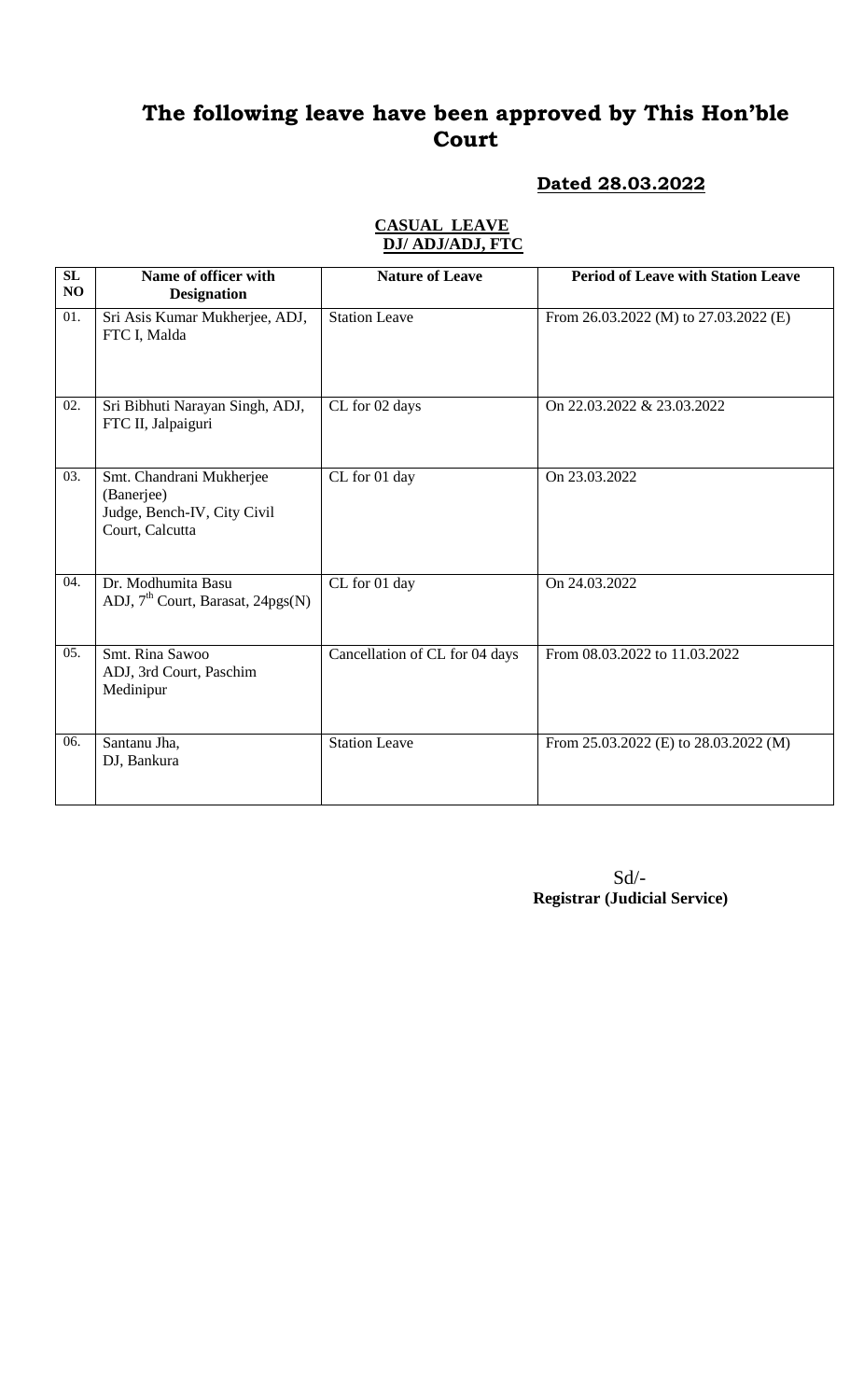### **Dated 28.03.2022**

### **CASUAL LEAVE DJ/ ADJ/ADJ, FTC**

| SL<br>NO          | Name of officer with<br><b>Designation</b>                                               | <b>Nature of Leave</b>         | <b>Period of Leave with Station Leave</b> |
|-------------------|------------------------------------------------------------------------------------------|--------------------------------|-------------------------------------------|
| $\overline{01}$ . | Sri Asis Kumar Mukherjee, ADJ,<br>FTC I, Malda                                           | <b>Station Leave</b>           | From 26.03.2022 (M) to 27.03.2022 (E)     |
| 02.               | Sri Bibhuti Narayan Singh, ADJ,<br>FTC II, Jalpaiguri                                    | CL for 02 days                 | On 22.03.2022 & 23.03.2022                |
| 03.               | Smt. Chandrani Mukherjee<br>(Banerjee)<br>Judge, Bench-IV, City Civil<br>Court, Calcutta | CL for 01 day                  | On 23.03.2022                             |
| 04.               | Dr. Modhumita Basu<br>ADJ, 7 <sup>th</sup> Court, Barasat, 24pgs(N)                      | CL for 01 day                  | On 24.03.2022                             |
| 05.               | Smt. Rina Sawoo<br>ADJ, 3rd Court, Paschim<br>Medinipur                                  | Cancellation of CL for 04 days | From 08.03.2022 to 11.03.2022             |
| 06.               | Santanu Jha,<br>DJ, Bankura                                                              | <b>Station Leave</b>           | From 25.03.2022 (E) to 28.03.2022 (M)     |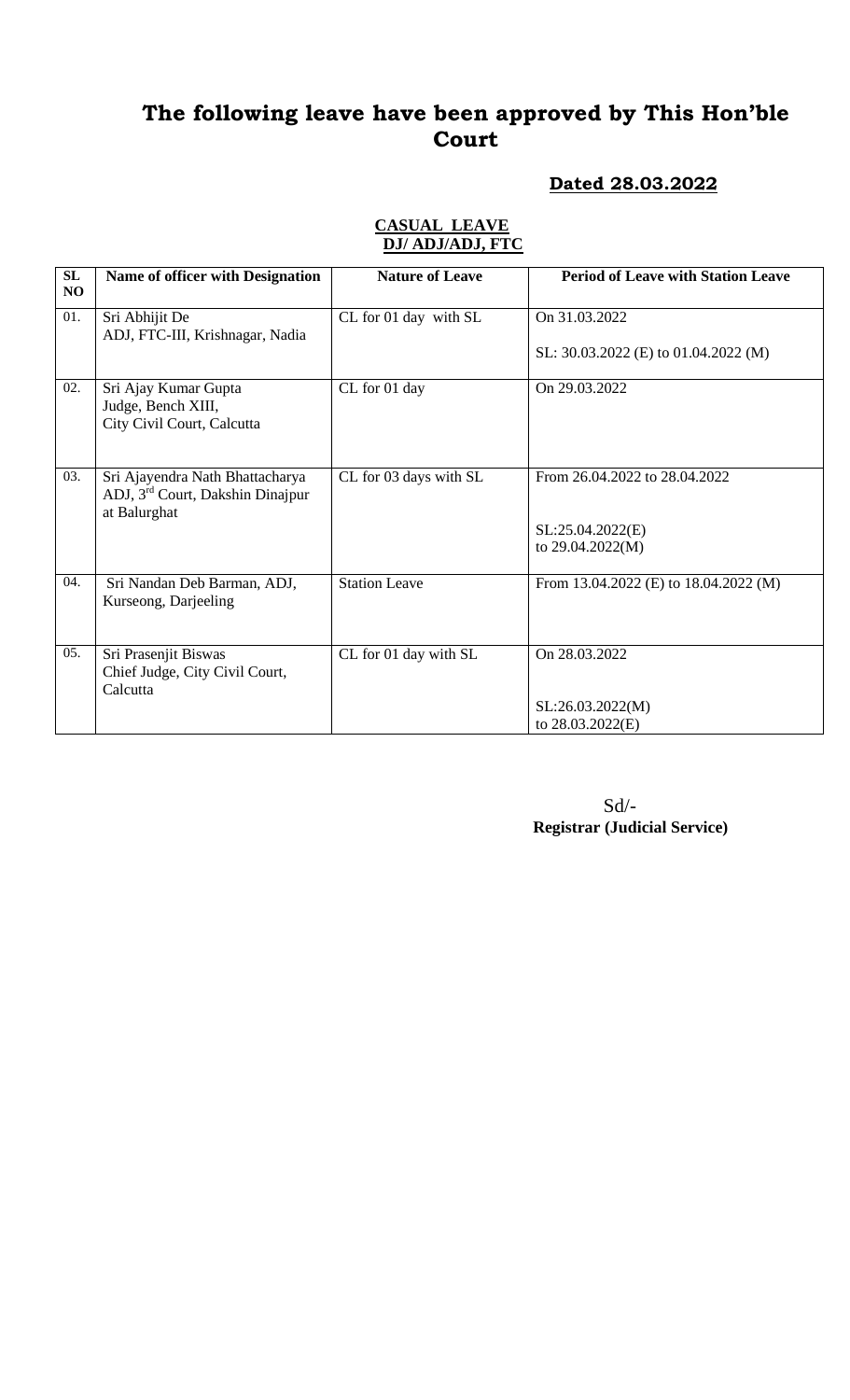### **Dated 28.03.2022**

#### **CASUAL LEAVE DJ/ ADJ/ADJ, FTC**

| SL<br>N <sub>O</sub> | <b>Name of officer with Designation</b>                                                         | <b>Nature of Leave</b> | <b>Period of Leave with Station Leave</b> |
|----------------------|-------------------------------------------------------------------------------------------------|------------------------|-------------------------------------------|
| 01.                  | Sri Abhijit De<br>ADJ, FTC-III, Krishnagar, Nadia                                               | CL for 01 day with SL  | On 31.03.2022                             |
|                      |                                                                                                 |                        | SL: 30.03.2022 (E) to 01.04.2022 (M)      |
| 02.                  | Sri Ajay Kumar Gupta<br>Judge, Bench XIII,<br>City Civil Court, Calcutta                        | CL for 01 day          | On 29.03.2022                             |
| 03.                  | Sri Ajayendra Nath Bhattacharya<br>ADJ, 3 <sup>rd</sup> Court, Dakshin Dinajpur<br>at Balurghat | CL for 03 days with SL | From 26.04.2022 to 28.04.2022             |
|                      |                                                                                                 |                        | SL:25.04.2022(E)<br>to 29.04.2022(M)      |
| 04.                  | Sri Nandan Deb Barman, ADJ,<br>Kurseong, Darjeeling                                             | <b>Station Leave</b>   | From 13.04.2022 (E) to 18.04.2022 (M)     |
| 05.                  | Sri Prasenjit Biswas<br>Chief Judge, City Civil Court,                                          | CL for 01 day with SL  | On 28.03.2022                             |
|                      | Calcutta                                                                                        |                        |                                           |
|                      |                                                                                                 |                        | SL:26.03.2022(M)<br>to 28.03.2022(E)      |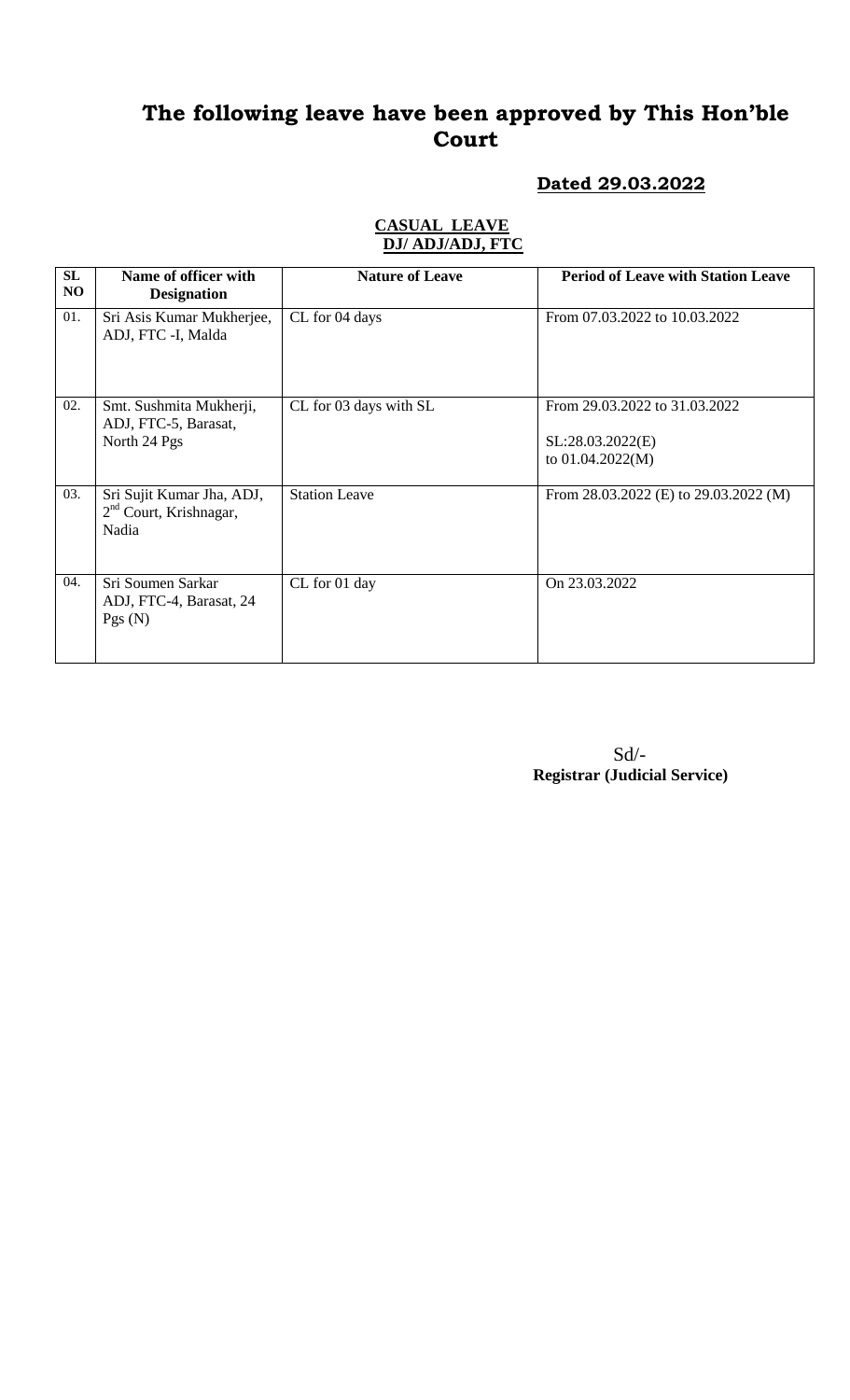### **Dated 29.03.2022**

### **CASUAL LEAVE DJ/ ADJ/ADJ, FTC**

| SL<br>NO. | Name of officer with<br><b>Designation</b>                      | <b>Nature of Leave</b> | <b>Period of Leave with Station Leave</b>                               |
|-----------|-----------------------------------------------------------------|------------------------|-------------------------------------------------------------------------|
| 01.       | Sri Asis Kumar Mukherjee,<br>ADJ, FTC -I, Malda                 | CL for 04 days         | From 07.03.2022 to 10.03.2022                                           |
| 02.       | Smt. Sushmita Mukherji,<br>ADJ, FTC-5, Barasat,<br>North 24 Pgs | CL for 03 days with SL | From 29.03.2022 to 31.03.2022<br>SL:28.03.2022(E)<br>to $01.04.2022(M)$ |
| 03.       | Sri Sujit Kumar Jha, ADJ,<br>$2nd$ Court, Krishnagar,<br>Nadia  | <b>Station Leave</b>   | From 28.03.2022 (E) to 29.03.2022 (M)                                   |
| 04.       | Sri Soumen Sarkar<br>ADJ, FTC-4, Barasat, 24<br>Pgs(N)          | CL for 01 day          | On 23.03.2022                                                           |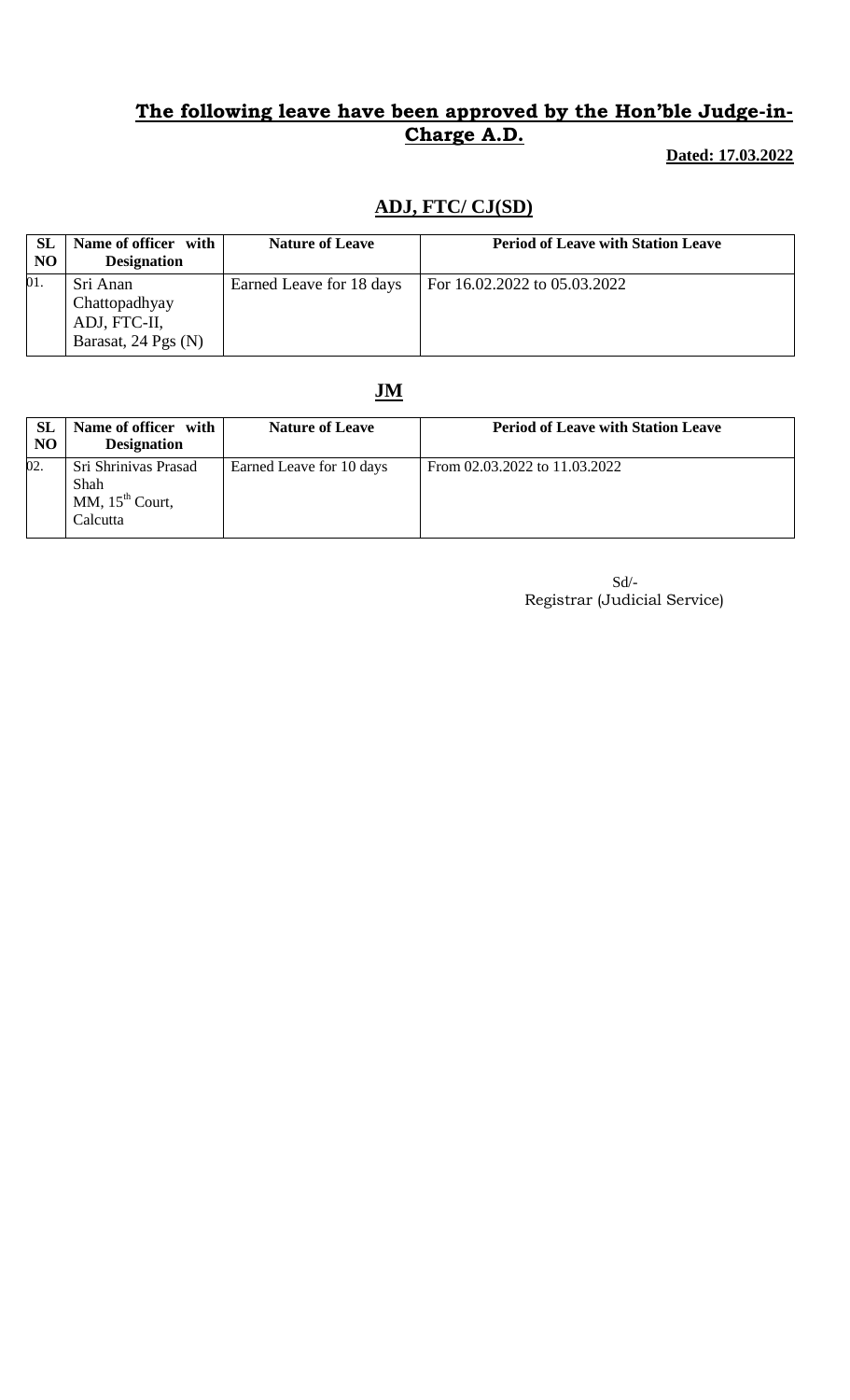**Dated: 17.03.2022**

## **ADJ, FTC/ CJ(SD)**

| <b>SL</b><br><b>NO</b> | Name of officer with<br><b>Designation</b>                       | <b>Nature of Leave</b>   | <b>Period of Leave with Station Leave</b> |
|------------------------|------------------------------------------------------------------|--------------------------|-------------------------------------------|
| 01.                    | Sri Anan<br>Chattopadhyay<br>ADJ, FTC-II,<br>Barasat, 24 Pgs (N) | Earned Leave for 18 days | For 16.02.2022 to 05.03.2022              |

## **JM**

| <b>SL</b><br>N <sub>O</sub> | Name of officer with<br><b>Designation</b>                    | <b>Nature of Leave</b>   | <b>Period of Leave with Station Leave</b> |
|-----------------------------|---------------------------------------------------------------|--------------------------|-------------------------------------------|
| 02.                         | Sri Shriniyas Prasad<br>Shah<br>MM, $15th$ Court,<br>Calcutta | Earned Leave for 10 days | From 02.03.2022 to 11.03.2022             |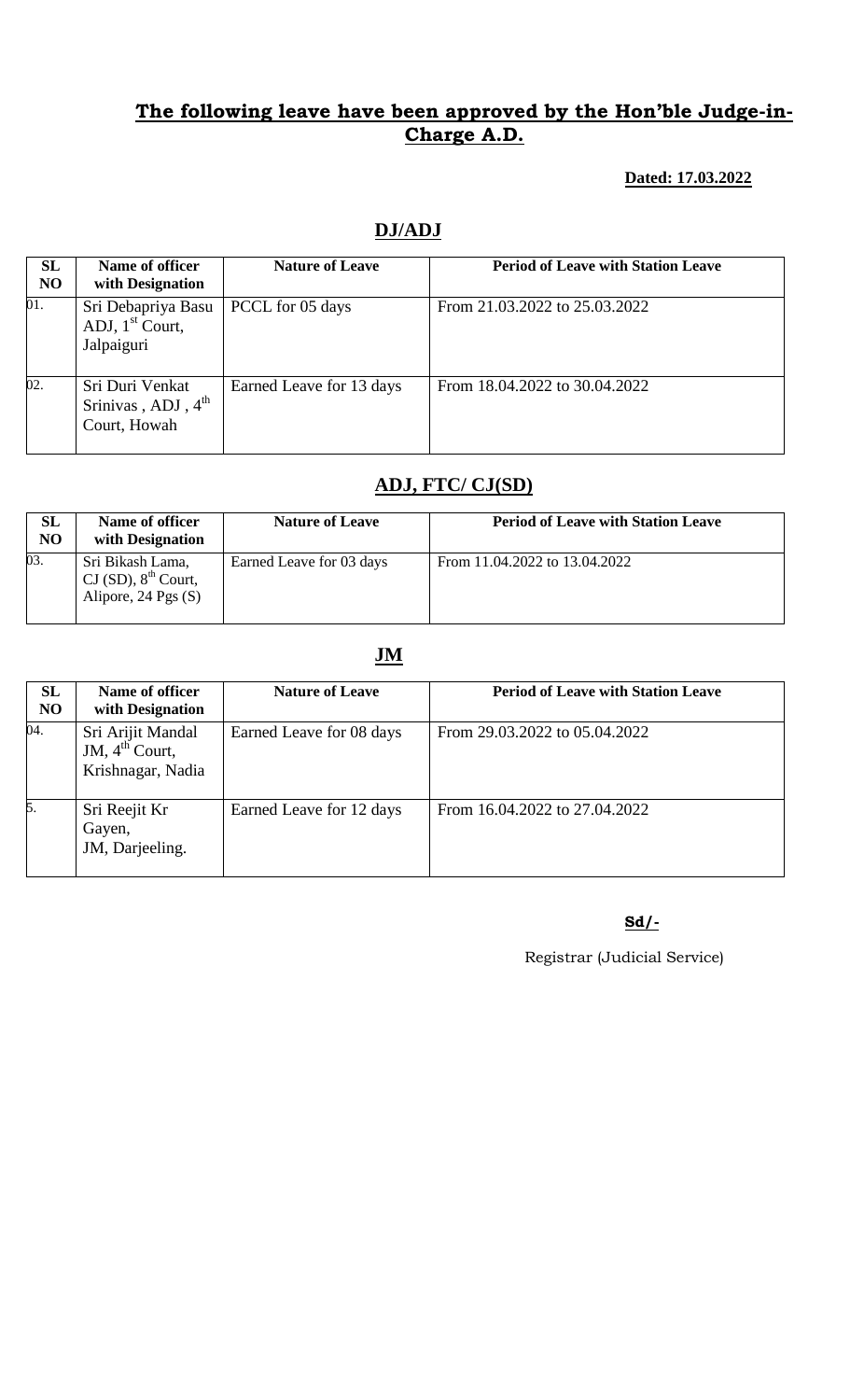#### **Dated: 17.03.2022**

# **DJ/ADJ**

| <b>SL</b><br>N <sub>O</sub> | Name of officer<br>with Designation                               | <b>Nature of Leave</b>   | <b>Period of Leave with Station Leave</b> |
|-----------------------------|-------------------------------------------------------------------|--------------------------|-------------------------------------------|
| 01.                         | Sri Debapriya Basu<br>ADJ, $1st$ Court,<br>Jalpaiguri             | PCCL for 05 days         | From 21.03.2022 to 25.03.2022             |
| 02.                         | Sri Duri Venkat<br>Srinivas, ADJ, $4^{\text{th}}$<br>Court, Howah | Earned Leave for 13 days | From 18.04.2022 to 30.04.2022             |

### **ADJ, FTC/ CJ(SD)**

| <b>SL</b><br><b>NO</b> | Name of officer<br>with Designation                                           | <b>Nature of Leave</b>   | <b>Period of Leave with Station Leave</b> |
|------------------------|-------------------------------------------------------------------------------|--------------------------|-------------------------------------------|
| 03.                    | Sri Bikash Lama,<br>CI(SD), 8 <sup>th</sup> Court,<br>Alipore, $24$ Pgs $(S)$ | Earned Leave for 03 days | From 11.04.2022 to 13.04.2022             |

### **JM**

| SL<br>N <sub>O</sub> | Name of officer<br>with Designation                           | <b>Nature of Leave</b>   | <b>Period of Leave with Station Leave</b> |
|----------------------|---------------------------------------------------------------|--------------------------|-------------------------------------------|
| 04.                  | Sri Arijit Mandal<br>JM, $4^{th}$ Court,<br>Krishnagar, Nadia | Earned Leave for 08 days | From 29.03.2022 to 05.04.2022             |
| 5.                   | Sri Reejit Kr<br>Gayen,<br>JM, Darjeeling.                    | Earned Leave for 12 days | From 16.04.2022 to 27.04.2022             |

### **Sd/-**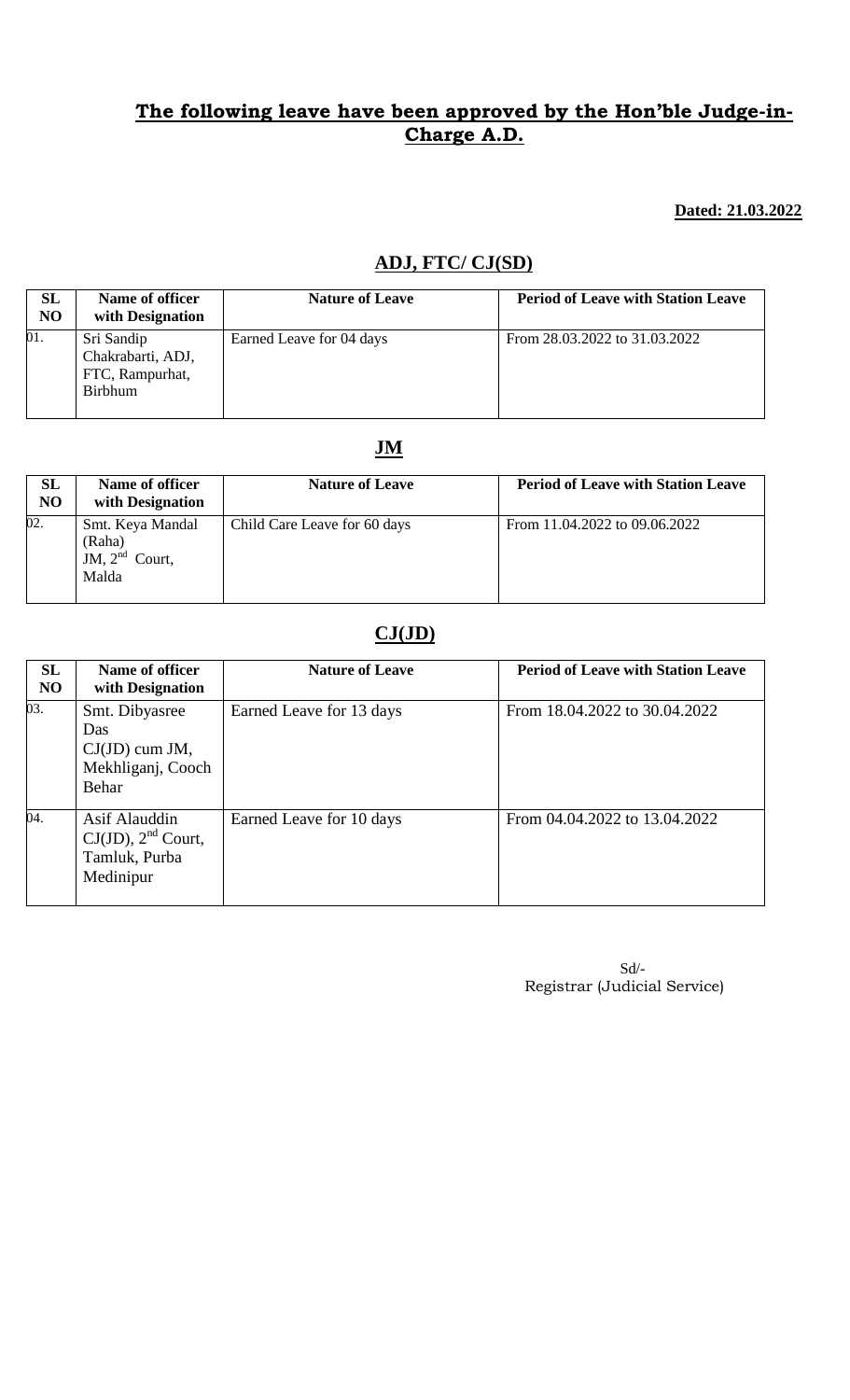#### **Dated: 21.03.2022**

## **ADJ, FTC/ CJ(SD)**

| <b>SL</b><br>N <sub>O</sub> | Name of officer<br>with Designation                                  | <b>Nature of Leave</b>   | <b>Period of Leave with Station Leave</b> |
|-----------------------------|----------------------------------------------------------------------|--------------------------|-------------------------------------------|
| 01.                         | Sri Sandip<br>Chakrabarti, ADJ,<br>FTC, Rampurhat,<br><b>Birbhum</b> | Earned Leave for 04 days | From 28.03.2022 to 31.03.2022             |

### **JM**

| <b>SL</b><br>N <sub>O</sub> | Name of officer<br>with Designation                     | <b>Nature of Leave</b>       | <b>Period of Leave with Station Leave</b> |
|-----------------------------|---------------------------------------------------------|------------------------------|-------------------------------------------|
| 02.                         | Smt. Keya Mandal<br>(Raha)<br>JM, $2nd$ Court,<br>Malda | Child Care Leave for 60 days | From 11.04.2022 to 09.06.2022             |

# **CJ(JD)**

| SL<br>N <sub>O</sub> | Name of officer<br>with Designation                                     | <b>Nature of Leave</b>   | <b>Period of Leave with Station Leave</b> |
|----------------------|-------------------------------------------------------------------------|--------------------------|-------------------------------------------|
| $\overline{03}$ .    | Smt. Dibyasree<br>Das<br>$CJ(JD)$ cum JM,<br>Mekhliganj, Cooch<br>Behar | Earned Leave for 13 days | From 18.04.2022 to 30.04.2022             |
| 04.                  | Asif Alauddin<br>$CJ(JD)$ , $2nd$ Court,<br>Tamluk, Purba<br>Medinipur  | Earned Leave for 10 days | From 04.04.2022 to 13.04.2022             |

| $Sd$ /-                      |
|------------------------------|
| Registrar (Judicial Service) |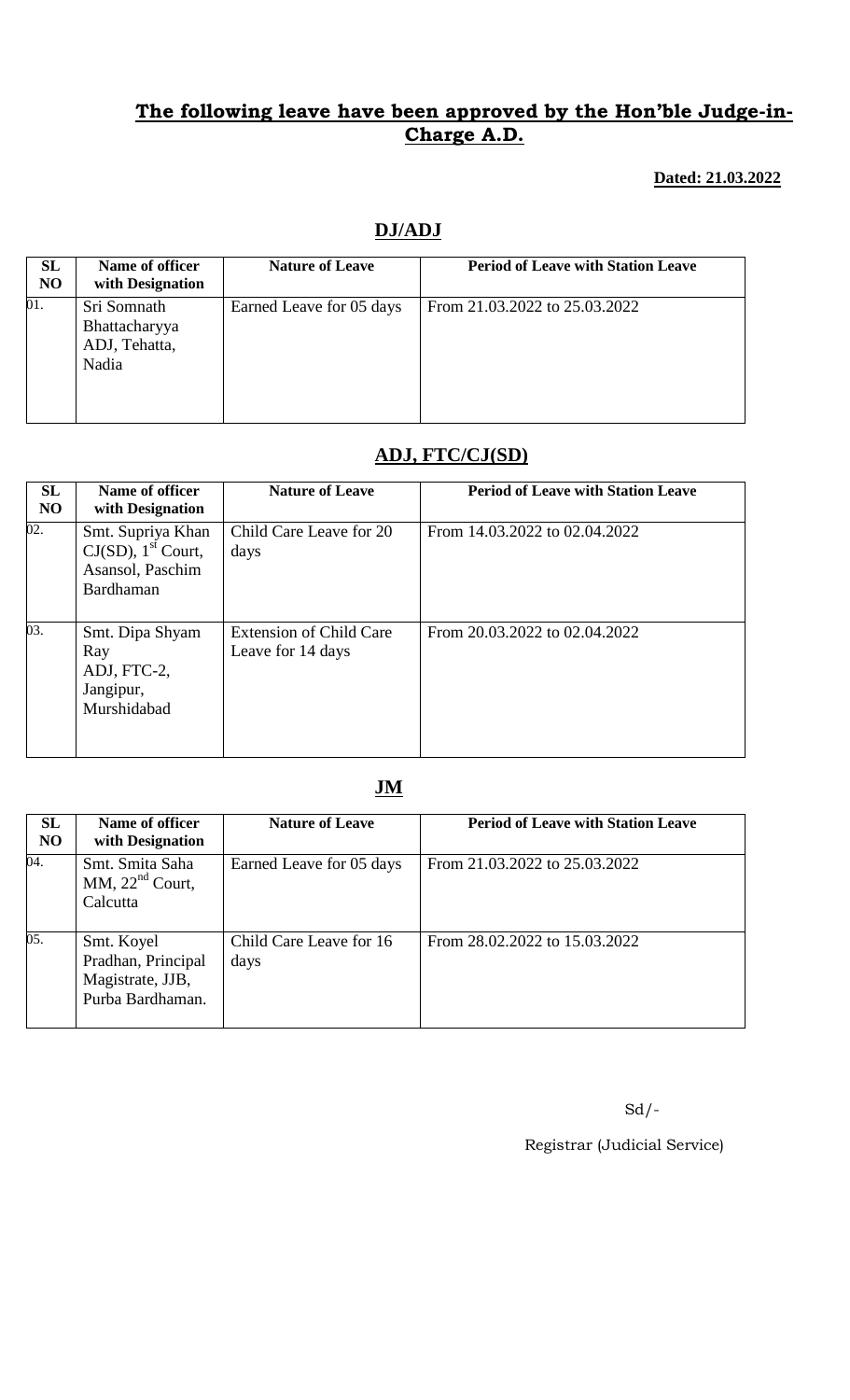#### **Dated: 21.03.2022**

# **DJ/ADJ**

| SL<br>N <sub>O</sub> | Name of officer<br>with Designation                    | <b>Nature of Leave</b>   | <b>Period of Leave with Station Leave</b> |
|----------------------|--------------------------------------------------------|--------------------------|-------------------------------------------|
| 01.                  | Sri Somnath<br>Bhattacharyya<br>ADJ, Tehatta,<br>Nadia | Earned Leave for 05 days | From 21.03.2022 to 25.03.2022             |

## **ADJ, FTC/CJ(SD)**

| SL<br>N <sub>O</sub> | Name of officer<br>with Designation                                                     | <b>Nature of Leave</b>                              | <b>Period of Leave with Station Leave</b> |
|----------------------|-----------------------------------------------------------------------------------------|-----------------------------------------------------|-------------------------------------------|
| 02.                  | Smt. Supriya Khan<br>$CJ(SD)$ , 1 <sup>st</sup> Court,<br>Asansol, Paschim<br>Bardhaman | Child Care Leave for 20<br>days                     | From 14.03.2022 to 02.04.2022             |
| 03.                  | Smt. Dipa Shyam<br>Ray<br>ADJ, FTC-2,<br>Jangipur,<br>Murshidabad                       | <b>Extension of Child Care</b><br>Leave for 14 days | From 20.03.2022 to 02.04.2022             |

# **JM**

| SL<br>N <sub>O</sub> | Name of officer<br>with Designation                                      | <b>Nature of Leave</b>          | <b>Period of Leave with Station Leave</b> |
|----------------------|--------------------------------------------------------------------------|---------------------------------|-------------------------------------------|
| 04.                  | Smt. Smita Saha<br>MM, $22nd$ Court,<br>Calcutta                         | Earned Leave for 05 days        | From 21.03.2022 to 25.03.2022             |
| 05.                  | Smt. Koyel<br>Pradhan, Principal<br>Magistrate, JJB,<br>Purba Bardhaman. | Child Care Leave for 16<br>days | From 28.02.2022 to 15.03.2022             |

 $Sd$  /-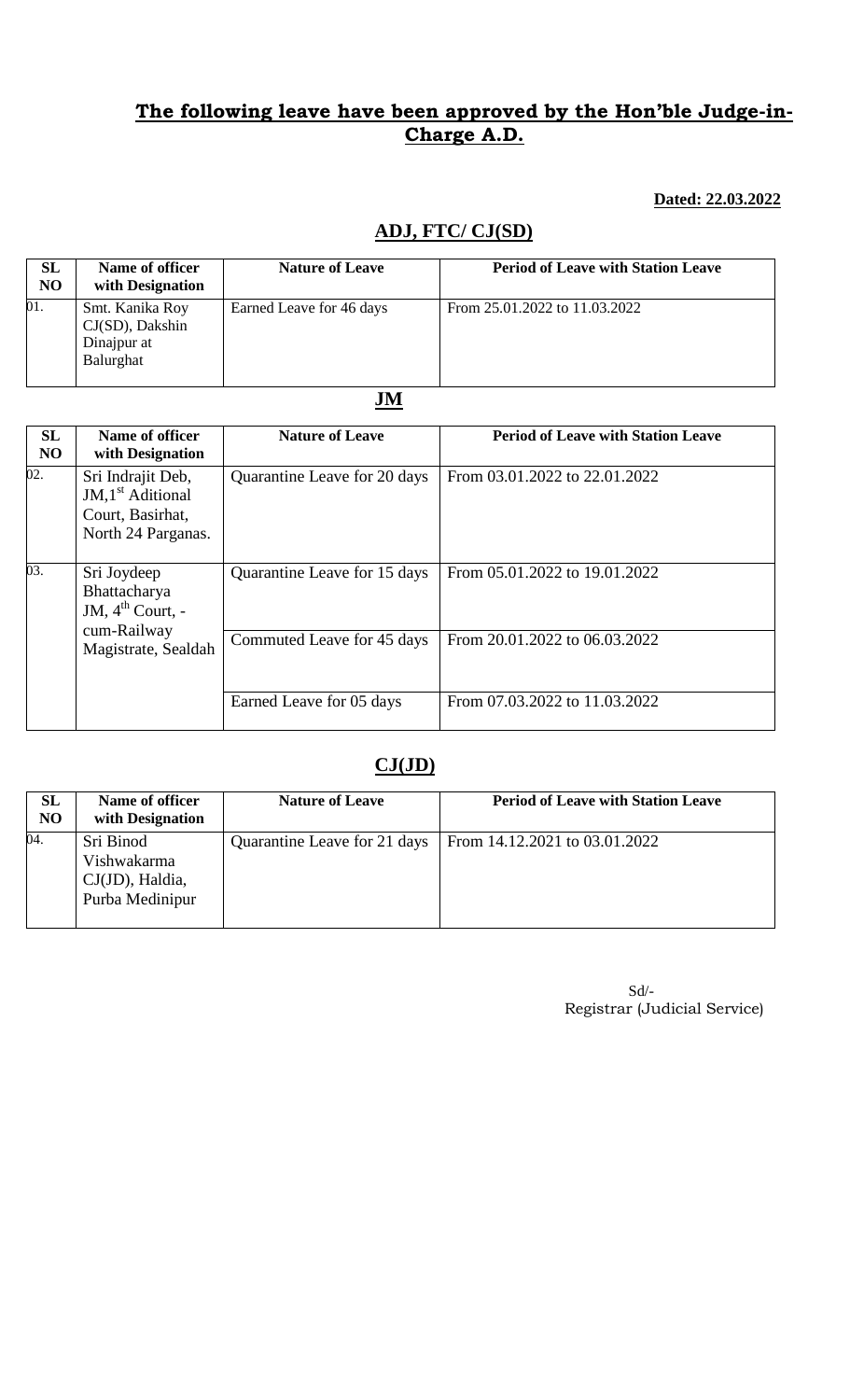### **Dated: 22.03.2022**

# **ADJ, FTC/ CJ(SD)**

| SL<br>N <sub>O</sub> | Name of officer<br>with Designation                               | <b>Nature of Leave</b>   | <b>Period of Leave with Station Leave</b> |
|----------------------|-------------------------------------------------------------------|--------------------------|-------------------------------------------|
| 01.                  | Smt. Kanika Roy<br>$CJ(SD)$ , Dakshin<br>Dinajpur at<br>Balurghat | Earned Leave for 46 days | From 25.01.2022 to 11.03.2022             |

### **JM**

| SL<br>N <sub>O</sub> | Name of officer<br>with Designation                                                               | <b>Nature of Leave</b>       | <b>Period of Leave with Station Leave</b> |
|----------------------|---------------------------------------------------------------------------------------------------|------------------------------|-------------------------------------------|
| 02.                  | Sri Indrajit Deb,<br>$JM,1st$ Aditional<br>Court, Basirhat,<br>North 24 Parganas.                 | Quarantine Leave for 20 days | From 03.01.2022 to 22.01.2022             |
| $\overline{03}$ .    | Sri Joydeep<br>Bhattacharya<br>JM, $4^{\text{th}}$ Court, -<br>cum-Railway<br>Magistrate, Sealdah | Quarantine Leave for 15 days | From 05.01.2022 to 19.01.2022             |
|                      |                                                                                                   | Commuted Leave for 45 days   | From 20.01.2022 to 06.03.2022             |
|                      |                                                                                                   | Earned Leave for 05 days     | From 07.03.2022 to 11.03.2022             |

### **CJ(JD)**

| SL<br>N <sub>O</sub> | Name of officer<br>with Designation                            | <b>Nature of Leave</b>       | <b>Period of Leave with Station Leave</b> |
|----------------------|----------------------------------------------------------------|------------------------------|-------------------------------------------|
| 04.                  | Sri Binod<br>Vishwakarma<br>CJ(JD), Haldia,<br>Purba Medinipur | Quarantine Leave for 21 days | From 14.12.2021 to 03.01.2022             |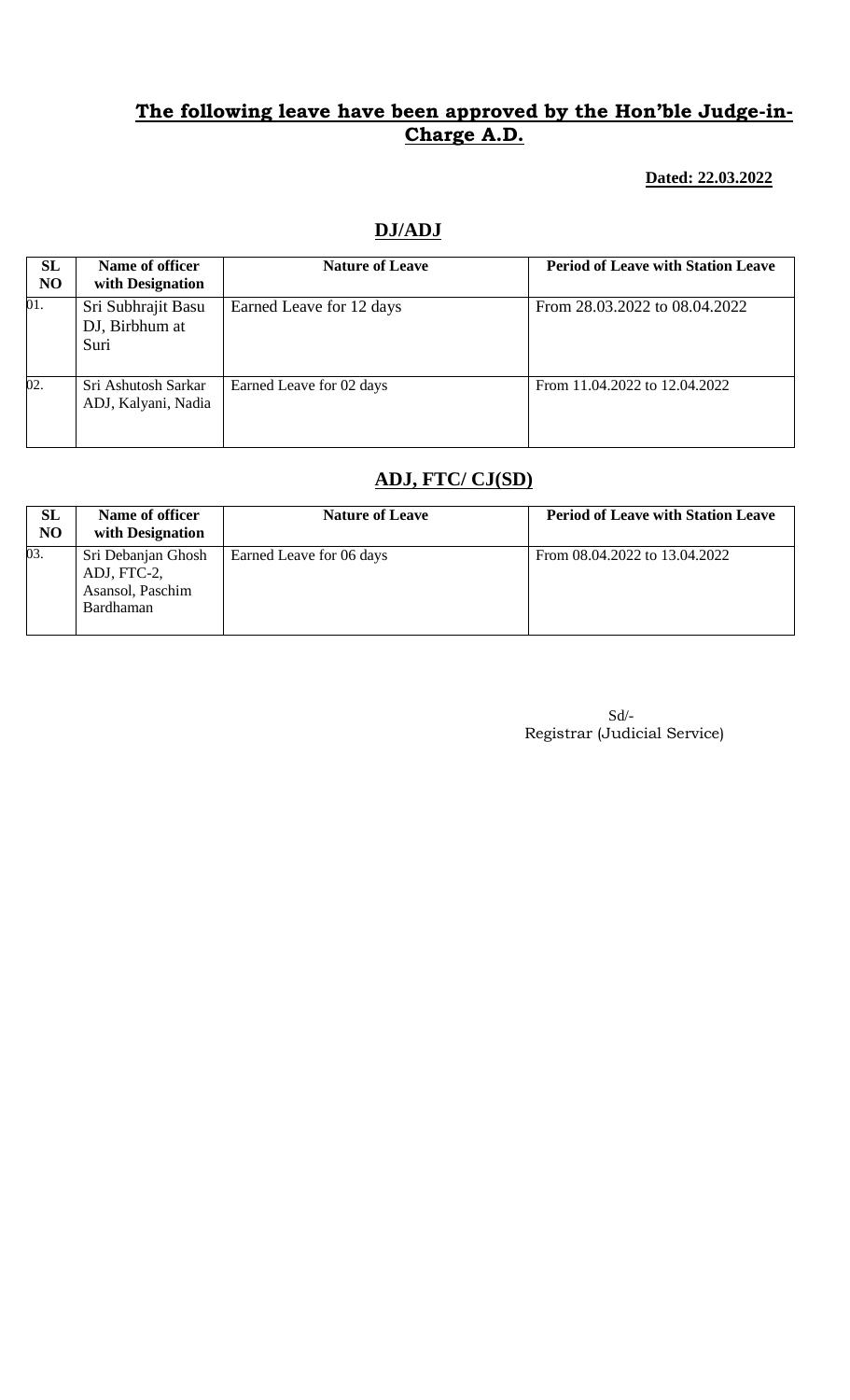**Dated: 22.03.2022**

## **DJ/ADJ**

| SL<br><b>NO</b> | Name of officer<br>with Designation          | <b>Nature of Leave</b>   | <b>Period of Leave with Station Leave</b> |
|-----------------|----------------------------------------------|--------------------------|-------------------------------------------|
| 01.             | Sri Subhrajit Basu<br>DJ, Birbhum at<br>Suri | Earned Leave for 12 days | From 28.03.2022 to 08.04.2022             |
| 02.             | Sri Ashutosh Sarkar<br>ADJ, Kalyani, Nadia   | Earned Leave for 02 days | From 11.04.2022 to 12.04.2022             |

# **ADJ, FTC/ CJ(SD)**

| <b>SL</b><br>N <sub>O</sub> | Name of officer<br>with Designation                                | <b>Nature of Leave</b>   | <b>Period of Leave with Station Leave</b> |
|-----------------------------|--------------------------------------------------------------------|--------------------------|-------------------------------------------|
| 03.                         | Sri Debanjan Ghosh<br>ADJ, FTC-2,<br>Asansol, Paschim<br>Bardhaman | Earned Leave for 06 days | From 08.04.2022 to 13.04.2022             |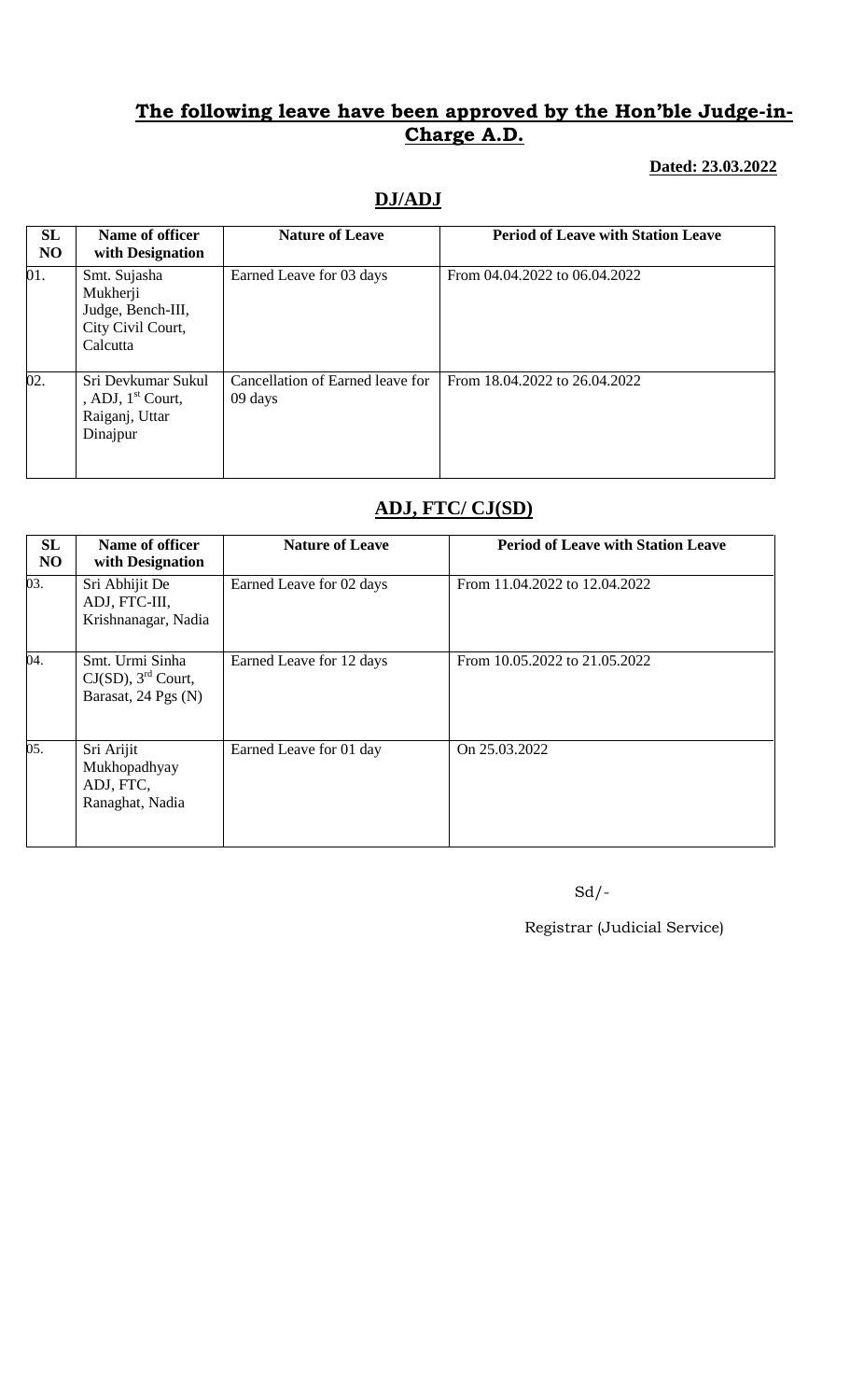#### **Dated: 23.03.2022**

## **DJ/ADJ**

| <b>SL</b><br>N <sub>O</sub> | Name of officer<br>with Designation                                            | <b>Nature of Leave</b>                      | <b>Period of Leave with Station Leave</b> |
|-----------------------------|--------------------------------------------------------------------------------|---------------------------------------------|-------------------------------------------|
| 01.                         | Smt. Sujasha<br>Mukherji<br>Judge, Bench-III,<br>City Civil Court,<br>Calcutta | Earned Leave for 03 days                    | From 04.04.2022 to 06.04.2022             |
| 02.                         | Sri Devkumar Sukul<br>, ADJ, $1st$ Court,<br>Raiganj, Uttar<br>Dinajpur        | Cancellation of Earned leave for<br>09 days | From 18.04.2022 to 26.04.2022             |

# **ADJ, FTC/ CJ(SD)**

| <b>SL</b><br>N <sub>O</sub> | Name of officer<br>with Designation                                         | <b>Nature of Leave</b>   | <b>Period of Leave with Station Leave</b> |
|-----------------------------|-----------------------------------------------------------------------------|--------------------------|-------------------------------------------|
| 03.                         | Sri Abhijit De<br>ADJ, FTC-III,<br>Krishnanagar, Nadia                      | Earned Leave for 02 days | From 11.04.2022 to 12.04.2022             |
| 04.                         | Smt. Urmi Sinha<br>$CJ(SD)$ , 3 <sup>rd</sup> Court,<br>Barasat, 24 Pgs (N) | Earned Leave for 12 days | From 10.05.2022 to 21.05.2022             |
| 05.                         | Sri Arijit<br>Mukhopadhyay<br>ADJ, FTC,<br>Ranaghat, Nadia                  | Earned Leave for 01 day  | On 25.03.2022                             |

Sd/-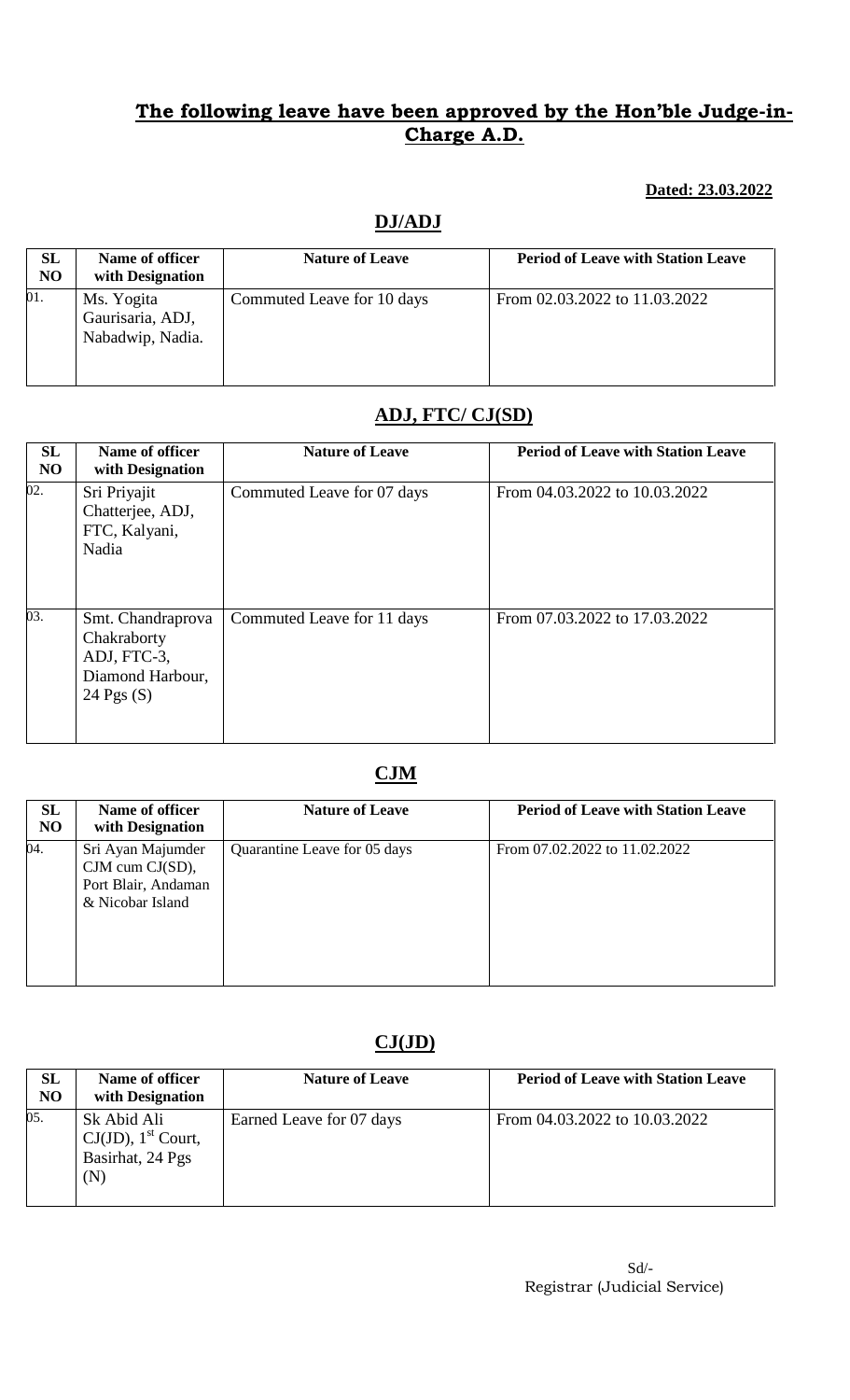**Dated: 23.03.2022**

## **DJ/ADJ**

| <b>SL</b><br>NO | Name of officer<br>with Designation                | <b>Nature of Leave</b>     | <b>Period of Leave with Station Leave</b> |
|-----------------|----------------------------------------------------|----------------------------|-------------------------------------------|
| 01.             | Ms. Yogita<br>Gaurisaria, ADJ,<br>Nabadwip, Nadia. | Commuted Leave for 10 days | From 02.03.2022 to 11.03.2022             |

# **ADJ, FTC/ CJ(SD)**

| SL<br>N <sub>O</sub> | Name of officer<br>with Designation                                                 | <b>Nature of Leave</b>     | <b>Period of Leave with Station Leave</b> |
|----------------------|-------------------------------------------------------------------------------------|----------------------------|-------------------------------------------|
| $\overline{02}$ .    | Sri Priyajit<br>Chatterjee, ADJ,<br>FTC, Kalyani,<br>Nadia                          | Commuted Leave for 07 days | From 04.03.2022 to 10.03.2022             |
| 03.                  | Smt. Chandraprova<br>Chakraborty<br>ADJ, FTC-3,<br>Diamond Harbour,<br>24 Pgs $(S)$ | Commuted Leave for 11 days | From 07.03.2022 to 17.03.2022             |

# **CJM**

| SL<br>N <sub>O</sub> | Name of officer<br>with Designation                                             | <b>Nature of Leave</b>       | <b>Period of Leave with Station Leave</b> |
|----------------------|---------------------------------------------------------------------------------|------------------------------|-------------------------------------------|
| 04.                  | Sri Ayan Majumder<br>CJM cum CJ(SD),<br>Port Blair, Andaman<br>& Nicobar Island | Quarantine Leave for 05 days | From 07.02.2022 to 11.02.2022             |

## **CJ(JD)**

| <b>SL</b><br>N <sub>O</sub> | Name of officer<br>with Designation                                         | <b>Nature of Leave</b>   | <b>Period of Leave with Station Leave</b> |
|-----------------------------|-----------------------------------------------------------------------------|--------------------------|-------------------------------------------|
| 05.                         | Sk Abid Ali<br>$CJ(JD)$ , 1 <sup>st</sup> Court,<br>Basirhat, 24 Pgs<br>(N) | Earned Leave for 07 days | From 04.03.2022 to 10.03.2022             |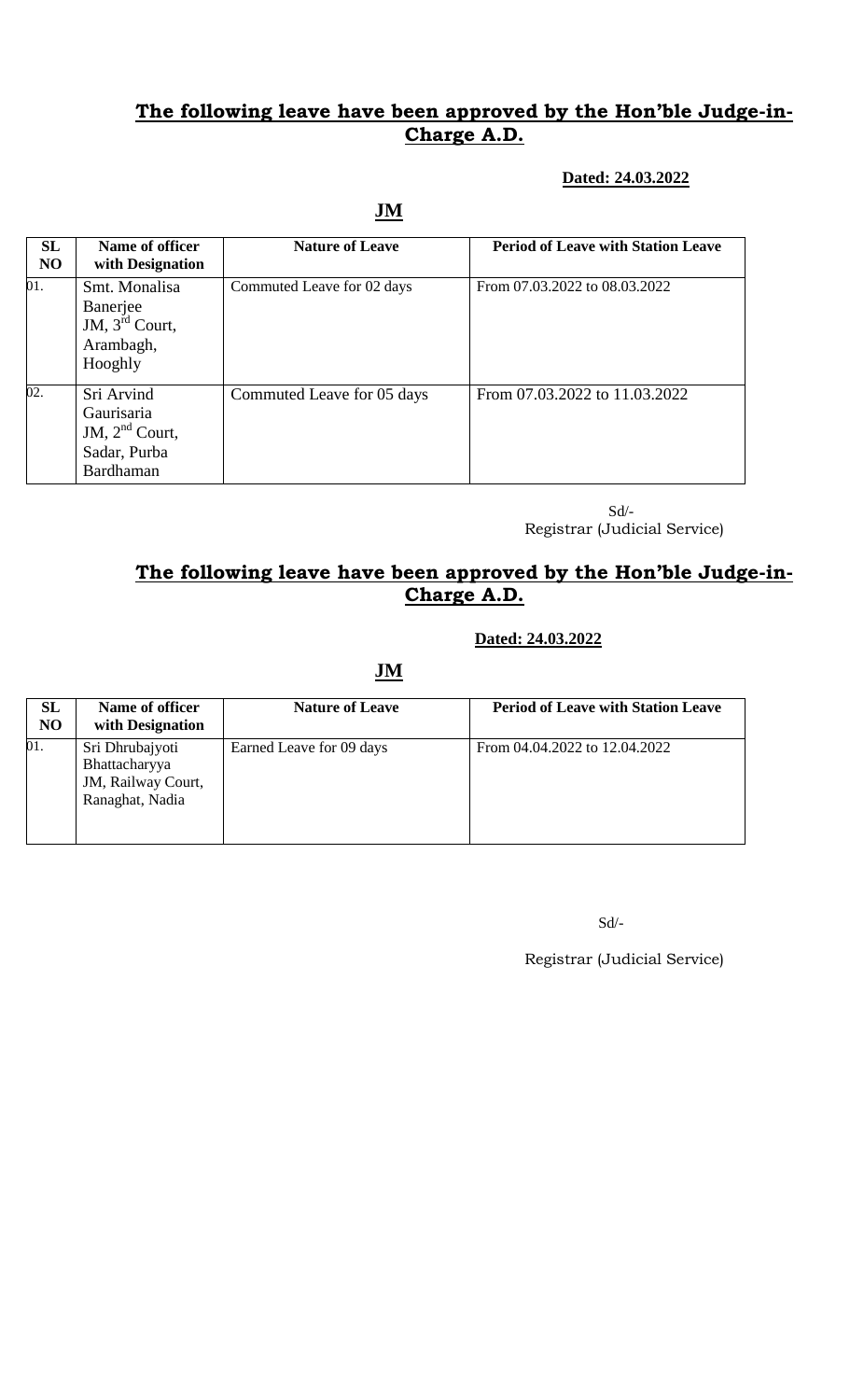#### **Dated: 24.03.2022**

## **JM**

| <b>SL</b><br><b>NO</b> | Name of officer<br>with Designation                                       | <b>Nature of Leave</b>     | <b>Period of Leave with Station Leave</b> |
|------------------------|---------------------------------------------------------------------------|----------------------------|-------------------------------------------|
| 01.                    | Smt. Monalisa<br>Banerjee<br>JM, $3rd$ Court,<br>Arambagh,<br>Hooghly     | Commuted Leave for 02 days | From 07.03.2022 to 08.03.2022             |
| 02.                    | Sri Arvind<br>Gaurisaria<br>JM, $2nd$ Court,<br>Sadar, Purba<br>Bardhaman | Commuted Leave for 05 days | From 07.03.2022 to 11.03.2022             |

 Sd/- Registrar (Judicial Service)

## **The following leave have been approved by the Hon'ble Judge-in-Charge A.D.**

#### **Dated: 24.03.2022**

**JM**

| <b>SL</b><br>N <sub>O</sub> | Name of officer<br>with Designation                                       | <b>Nature of Leave</b>   | <b>Period of Leave with Station Leave</b> |
|-----------------------------|---------------------------------------------------------------------------|--------------------------|-------------------------------------------|
| 01.                         | Sri Dhrubajyoti<br>Bhattacharyya<br>JM, Railway Court,<br>Ranaghat, Nadia | Earned Leave for 09 days | From 04.04.2022 to 12.04.2022             |

Sd/-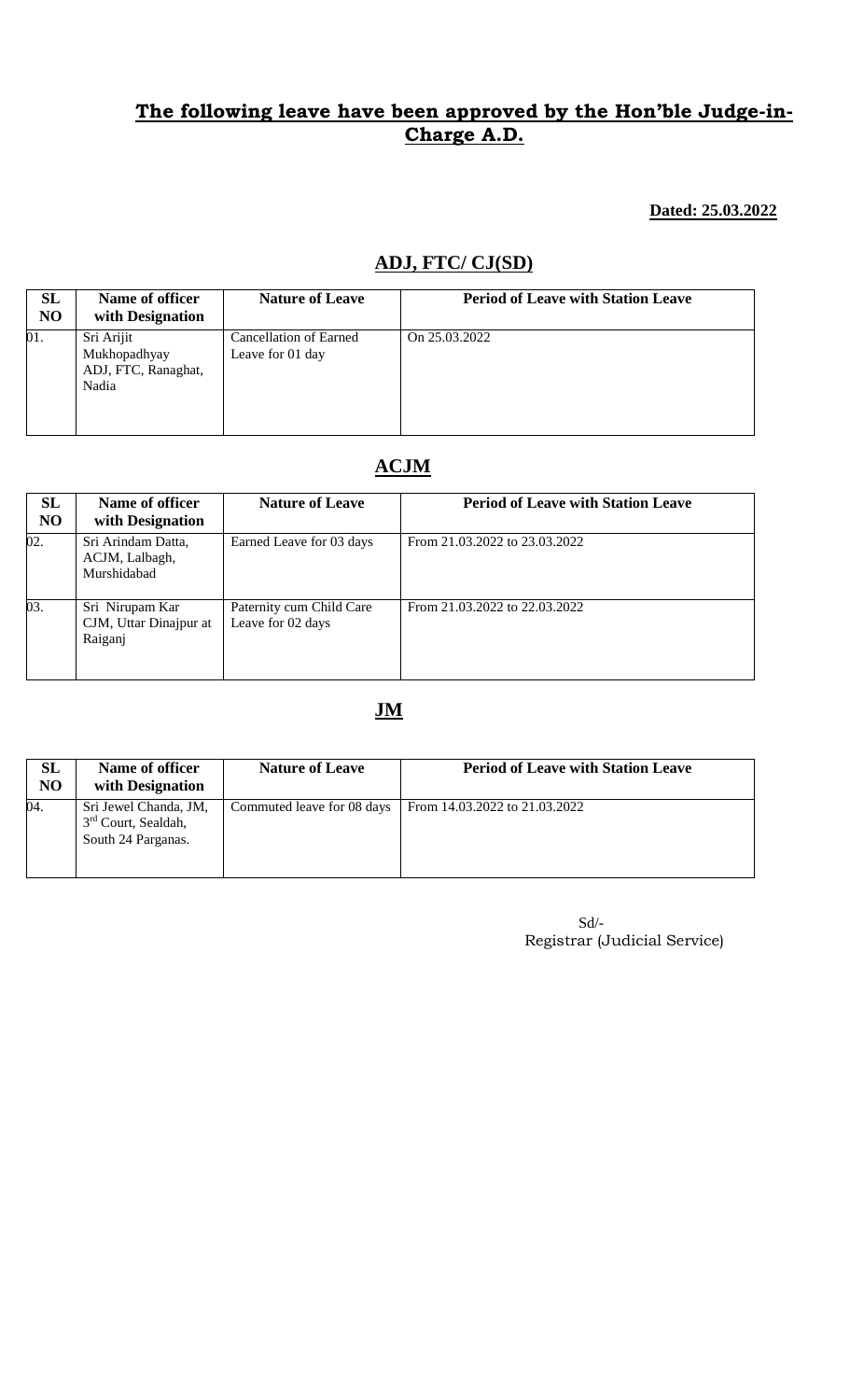#### **Dated: 25.03.2022**

## **ADJ, FTC/ CJ(SD)**

| <b>SL</b><br>N <sub>O</sub> | Name of officer<br>with Designation                        | <b>Nature of Leave</b>                            | <b>Period of Leave with Station Leave</b> |
|-----------------------------|------------------------------------------------------------|---------------------------------------------------|-------------------------------------------|
| 01.                         | Sri Arijit<br>Mukhopadhyay<br>ADJ, FTC, Ranaghat,<br>Nadia | <b>Cancellation of Earned</b><br>Leave for 01 day | On 25.03.2022                             |

# **ACJM**

| <b>SL</b><br>N <sub>O</sub> | Name of officer<br>with Designation                  | <b>Nature of Leave</b>                        | <b>Period of Leave with Station Leave</b> |
|-----------------------------|------------------------------------------------------|-----------------------------------------------|-------------------------------------------|
| 02.                         | Sri Arindam Datta,<br>ACJM, Lalbagh,<br>Murshidabad  | Earned Leave for 03 days                      | From 21.03.2022 to 23.03.2022             |
| 03.                         | Sri Nirupam Kar<br>CJM, Uttar Dinajpur at<br>Raiganj | Paternity cum Child Care<br>Leave for 02 days | From 21.03.2022 to 22.03.2022             |

## **JM**

| SL<br>N <sub>O</sub> | Name of officer<br>with Designation                                            | <b>Nature of Leave</b>     | <b>Period of Leave with Station Leave</b> |
|----------------------|--------------------------------------------------------------------------------|----------------------------|-------------------------------------------|
| 04.                  | Sri Jewel Chanda, JM,<br>3 <sup>rd</sup> Court, Sealdah,<br>South 24 Parganas. | Commuted leave for 08 days | From 14.03.2022 to 21.03.2022             |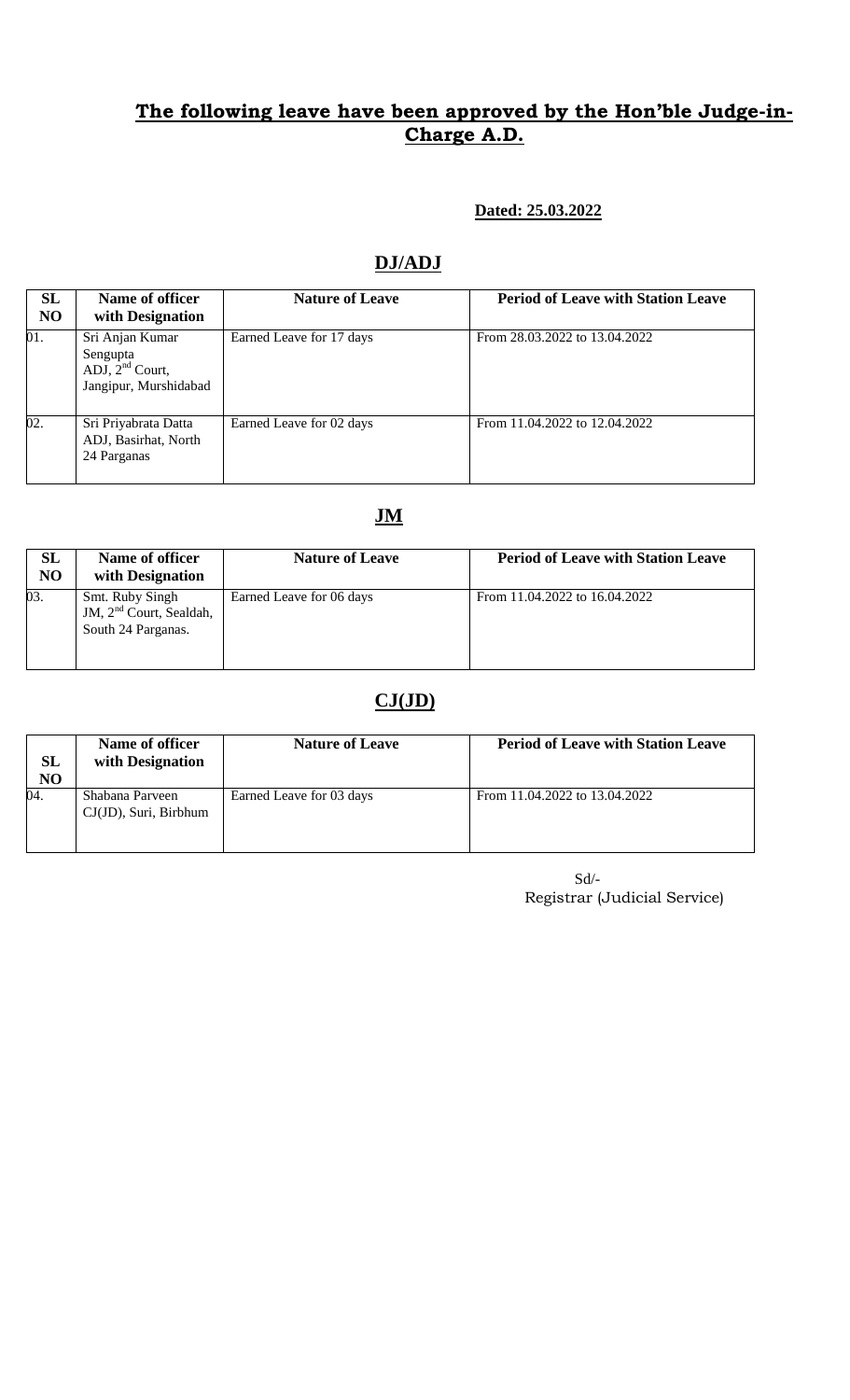#### **Dated: 25.03.2022**

## **DJ/ADJ**

| SL<br>N <sub>O</sub> | Name of officer<br>with Designation                                       | <b>Nature of Leave</b>   | <b>Period of Leave with Station Leave</b> |
|----------------------|---------------------------------------------------------------------------|--------------------------|-------------------------------------------|
| 01.                  | Sri Anjan Kumar<br>Sengupta<br>ADJ, $2nd$ Court,<br>Jangipur, Murshidabad | Earned Leave for 17 days | From 28.03.2022 to 13.04.2022             |
| 02.                  | Sri Priyabrata Datta<br>ADJ, Basirhat, North<br>24 Parganas               | Earned Leave for 02 days | From 11.04.2022 to 12.04.2022             |

## **JM**

| SL<br>N <sub>O</sub> | Name of officer<br>with Designation                                          | <b>Nature of Leave</b>   | <b>Period of Leave with Station Leave</b> |
|----------------------|------------------------------------------------------------------------------|--------------------------|-------------------------------------------|
| 03.                  | Smt. Ruby Singh<br>JM, 2 <sup>nd</sup> Court, Sealdah,<br>South 24 Parganas. | Earned Leave for 06 days | From 11.04.2022 to 16.04.2022             |

## **CJ(JD)**

| SL<br>N <sub>O</sub> | Name of officer<br>with Designation      | <b>Nature of Leave</b>   | <b>Period of Leave with Station Leave</b> |
|----------------------|------------------------------------------|--------------------------|-------------------------------------------|
| 04.                  | Shabana Parveen<br>CJ(JD), Suri, Birbhum | Earned Leave for 03 days | From 11.04.2022 to 13.04.2022             |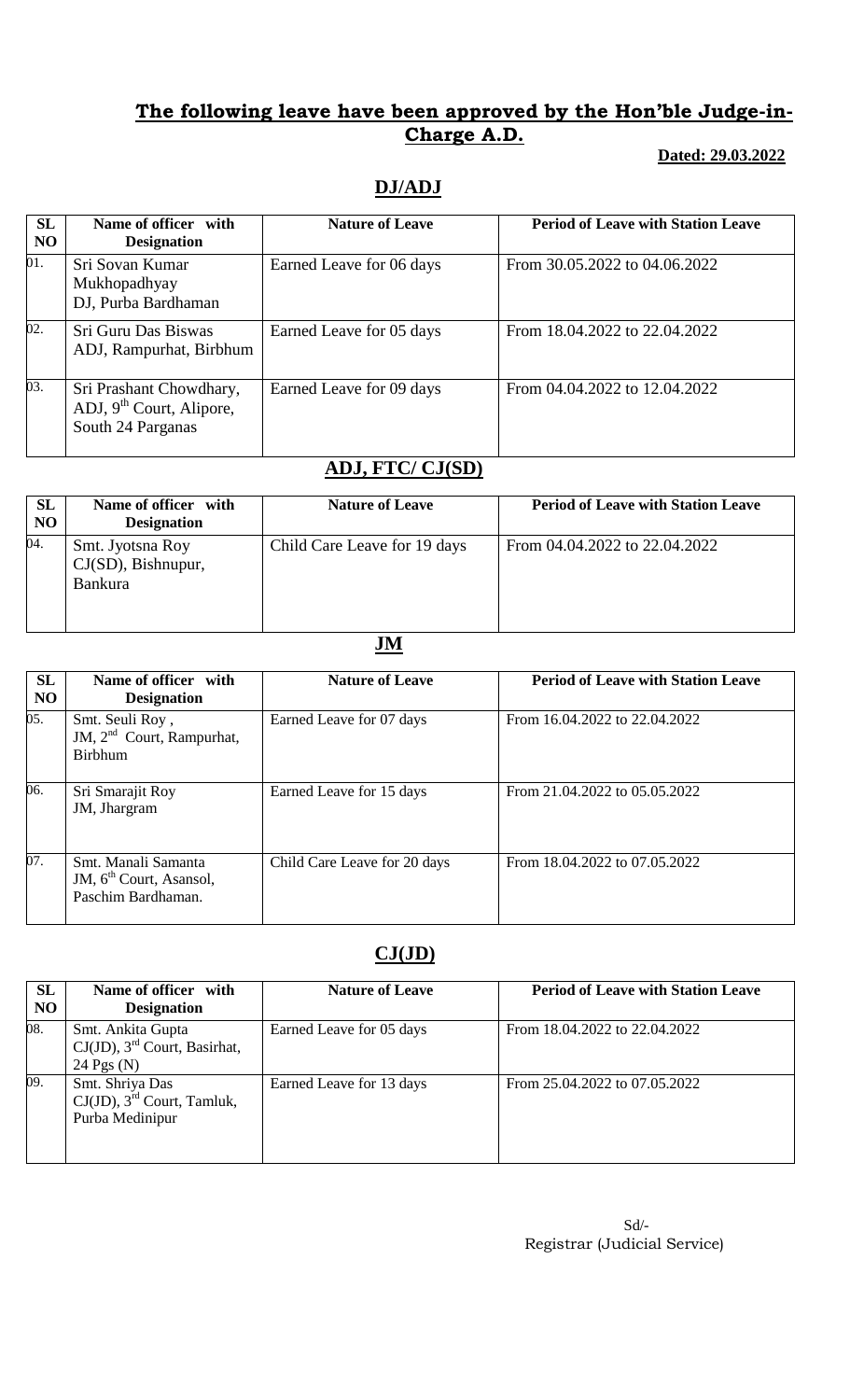### **Dated: 29.03.2022**

## **DJ/ADJ**

| <b>SL</b><br>N <sub>O</sub> | Name of officer with<br><b>Designation</b>                                 | <b>Nature of Leave</b>   | <b>Period of Leave with Station Leave</b> |
|-----------------------------|----------------------------------------------------------------------------|--------------------------|-------------------------------------------|
| 01.                         | Sri Sovan Kumar<br>Mukhopadhyay<br>DJ, Purba Bardhaman                     | Earned Leave for 06 days | From 30.05.2022 to 04.06.2022             |
| 02.                         | Sri Guru Das Biswas<br>ADJ, Rampurhat, Birbhum                             | Earned Leave for 05 days | From 18.04.2022 to 22.04.2022             |
| 03.                         | Sri Prashant Chowdhary,<br>ADJ, $9th$ Court, Alipore,<br>South 24 Parganas | Earned Leave for 09 days | From 04.04.2022 to 12.04.2022             |

# **ADJ, FTC/ CJ(SD)**

| <b>SL</b><br>N <sub>O</sub> | Name of officer with<br><b>Designation</b>                  | <b>Nature of Leave</b>       | <b>Period of Leave with Station Leave</b> |
|-----------------------------|-------------------------------------------------------------|------------------------------|-------------------------------------------|
| 04.                         | Smt. Jyotsna Roy<br>$CJ(SD)$ , Bishnupur,<br><b>Bankura</b> | Child Care Leave for 19 days | From 04.04.2022 to 22.04.2022             |

## **JM**

| <b>SL</b><br>N <sub>O</sub> | Name of officer with<br><b>Designation</b>                                       | <b>Nature of Leave</b>       | <b>Period of Leave with Station Leave</b> |
|-----------------------------|----------------------------------------------------------------------------------|------------------------------|-------------------------------------------|
| 05.                         | Smt. Seuli Roy,<br>JM, $2nd$ Court, Rampurhat,<br><b>Birbhum</b>                 | Earned Leave for 07 days     | From 16.04.2022 to 22.04.2022             |
| 06.                         | Sri Smarajit Roy<br>JM, Jhargram                                                 | Earned Leave for 15 days     | From 21.04.2022 to 05.05.2022             |
| 07.                         | Smt. Manali Samanta<br>JM, 6 <sup>th</sup> Court, Asansol,<br>Paschim Bardhaman. | Child Care Leave for 20 days | From 18.04.2022 to 07.05.2022             |

# **CJ(JD)**

| <b>SL</b><br>N <sub>O</sub> | Name of officer with<br><b>Designation</b>                                       | <b>Nature of Leave</b>   | <b>Period of Leave with Station Leave</b> |
|-----------------------------|----------------------------------------------------------------------------------|--------------------------|-------------------------------------------|
| 08.                         | Smt. Ankita Gupta<br>$CJ(JD)$ , 3 <sup>rd</sup> Court, Basirhat,<br>24 Pgs $(N)$ | Earned Leave for 05 days | From 18.04.2022 to 22.04.2022             |
| 09.                         | Smt. Shriya Das<br>$CJ(JD)$ , 3 <sup>rd</sup> Court, Tamluk,<br>Purba Medinipur  | Earned Leave for 13 days | From 25.04.2022 to 07.05.2022             |